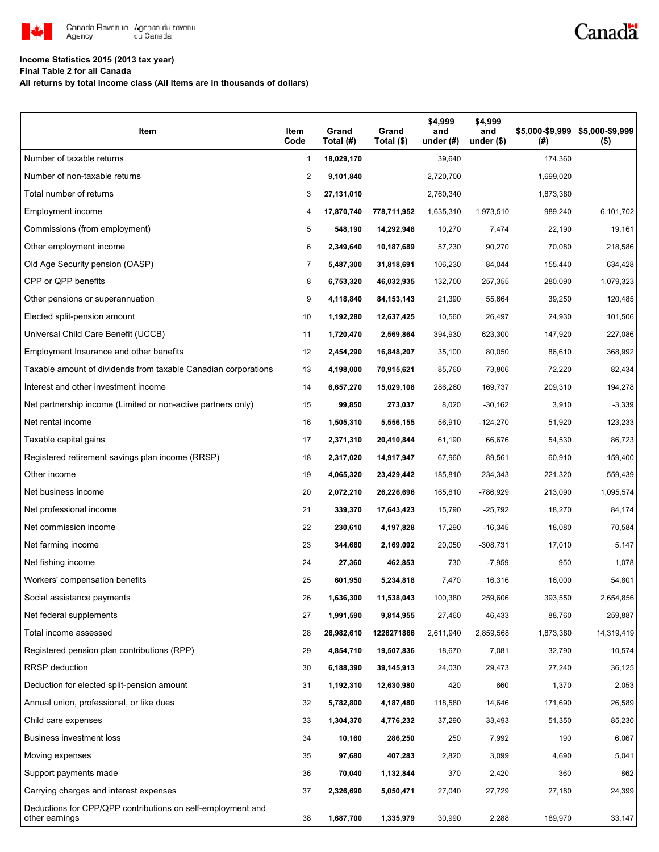

# Canadä

### **Income Statistics 2015 (2013 tax year)**

**Final Table 2 for all Canada**

**All returns by total income class (All items are in thousands of dollars)**

| Item                                                                          | Item<br>Code | Grand<br>Total (#) | Grand<br>Total (\$) | \$4,999<br>and<br>under $(\#)$ | \$4,999<br>and<br>under $($)$ | (#)       | \$5,000-\$9,999 \$5,000-\$9,999<br>$($ \$) |
|-------------------------------------------------------------------------------|--------------|--------------------|---------------------|--------------------------------|-------------------------------|-----------|--------------------------------------------|
| Number of taxable returns                                                     | 1            | 18,029,170         |                     | 39,640                         |                               | 174,360   |                                            |
| Number of non-taxable returns                                                 | 2            | 9,101,840          |                     | 2,720,700                      |                               | 1,699,020 |                                            |
| Total number of returns                                                       | 3            | 27,131,010         |                     | 2,760,340                      |                               | 1,873,380 |                                            |
| Employment income                                                             | 4            | 17,870,740         | 778,711,952         | 1,635,310                      | 1,973,510                     | 989,240   | 6,101,702                                  |
| Commissions (from employment)                                                 | 5            | 548,190            | 14,292,948          | 10,270                         | 7,474                         | 22,190    | 19,161                                     |
| Other employment income                                                       | 6            | 2,349,640          | 10,187,689          | 57,230                         | 90,270                        | 70,080    | 218,586                                    |
| Old Age Security pension (OASP)                                               | 7            | 5,487,300          | 31,818,691          | 106,230                        | 84,044                        | 155,440   | 634,428                                    |
| CPP or QPP benefits                                                           | 8            | 6,753,320          | 46,032,935          | 132,700                        | 257,355                       | 280,090   | 1,079,323                                  |
| Other pensions or superannuation                                              | 9            | 4,118,840          | 84, 153, 143        | 21,390                         | 55,664                        | 39,250    | 120,485                                    |
| Elected split-pension amount                                                  | 10           | 1,192,280          | 12,637,425          | 10,560                         | 26,497                        | 24,930    | 101,506                                    |
| Universal Child Care Benefit (UCCB)                                           | 11           | 1,720,470          | 2,569,864           | 394,930                        | 623,300                       | 147,920   | 227,086                                    |
| Employment Insurance and other benefits                                       | 12           | 2,454,290          | 16,848,207          | 35,100                         | 80,050                        | 86,610    | 368,992                                    |
| Taxable amount of dividends from taxable Canadian corporations                | 13           | 4,198,000          | 70,915,621          | 85,760                         | 73,806                        | 72,220    | 82,434                                     |
| Interest and other investment income                                          | 14           | 6,657,270          | 15,029,108          | 286,260                        | 169,737                       | 209,310   | 194,278                                    |
| Net partnership income (Limited or non-active partners only)                  | 15           | 99,850             | 273,037             | 8,020                          | $-30,162$                     | 3,910     | $-3,339$                                   |
| Net rental income                                                             | 16           | 1,505,310          | 5,556,155           | 56,910                         | $-124,270$                    | 51,920    | 123,233                                    |
| Taxable capital gains                                                         | 17           | 2,371,310          | 20,410,844          | 61,190                         | 66,676                        | 54,530    | 86,723                                     |
| Registered retirement savings plan income (RRSP)                              | 18           | 2,317,020          | 14,917,947          | 67,960                         | 89,561                        | 60,910    | 159,400                                    |
| Other income                                                                  | 19           | 4,065,320          | 23,429,442          | 185,810                        | 234,343                       | 221,320   | 559,439                                    |
| Net business income                                                           | 20           | 2,072,210          | 26,226,696          | 165,810                        | -786,929                      | 213,090   | 1,095,574                                  |
| Net professional income                                                       | 21           | 339,370            | 17,643,423          | 15,790                         | $-25,792$                     | 18,270    | 84,174                                     |
| Net commission income                                                         | 22           | 230,610            | 4,197,828           | 17,290                         | $-16,345$                     | 18,080    | 70,584                                     |
| Net farming income                                                            | 23           | 344,660            | 2,169,092           | 20,050                         | $-308,731$                    | 17,010    | 5,147                                      |
| Net fishing income                                                            | 24           | 27,360             | 462,853             | 730                            | $-7,959$                      | 950       | 1,078                                      |
| Workers' compensation benefits                                                | 25           | 601,950            | 5,234,818           | 7,470                          | 16,316                        | 16,000    | 54,801                                     |
| Social assistance payments                                                    | 26           | 1,636,300          | 11,538,043          | 100,380                        | 259,606                       | 393,550   | 2,654,856                                  |
| Net federal supplements                                                       | 27           | 1,991,590          | 9,814,955           | 27,460                         | 46,433                        | 88,760    | 259,887                                    |
| Total income assessed                                                         | 28           | 26,982,610         | 1226271866          | 2,611,940                      | 2,859,568                     | 1,873,380 | 14,319,419                                 |
| Registered pension plan contributions (RPP)                                   | 29           | 4,854,710          | 19,507,836          | 18,670                         | 7,081                         | 32,790    | 10,574                                     |
| <b>RRSP</b> deduction                                                         | 30           | 6,188,390          | 39,145,913          | 24,030                         | 29,473                        | 27,240    | 36,125                                     |
| Deduction for elected split-pension amount                                    | 31           | 1,192,310          | 12,630,980          | 420                            | 660                           | 1,370     | 2,053                                      |
| Annual union, professional, or like dues                                      | 32           | 5,782,800          | 4,187,480           | 118,580                        | 14,646                        | 171,690   | 26,589                                     |
| Child care expenses                                                           | 33           | 1,304,370          | 4,776,232           | 37,290                         | 33,493                        | 51,350    | 85,230                                     |
| Business investment loss                                                      | 34           | 10,160             | 286,250             | 250                            | 7,992                         | 190       | 6,067                                      |
| Moving expenses                                                               | 35           | 97,680             | 407,283             | 2,820                          | 3,099                         | 4,690     | 5,041                                      |
| Support payments made                                                         | 36           | 70,040             | 1,132,844           | 370                            | 2,420                         | 360       | 862                                        |
| Carrying charges and interest expenses                                        | 37           | 2,326,690          | 5,050,471           | 27,040                         | 27,729                        | 27,180    | 24,399                                     |
| Deductions for CPP/QPP contributions on self-employment and<br>other earnings | 38           | 1,687,700          | 1,335,979           | 30,990                         | 2,288                         | 189,970   | 33,147                                     |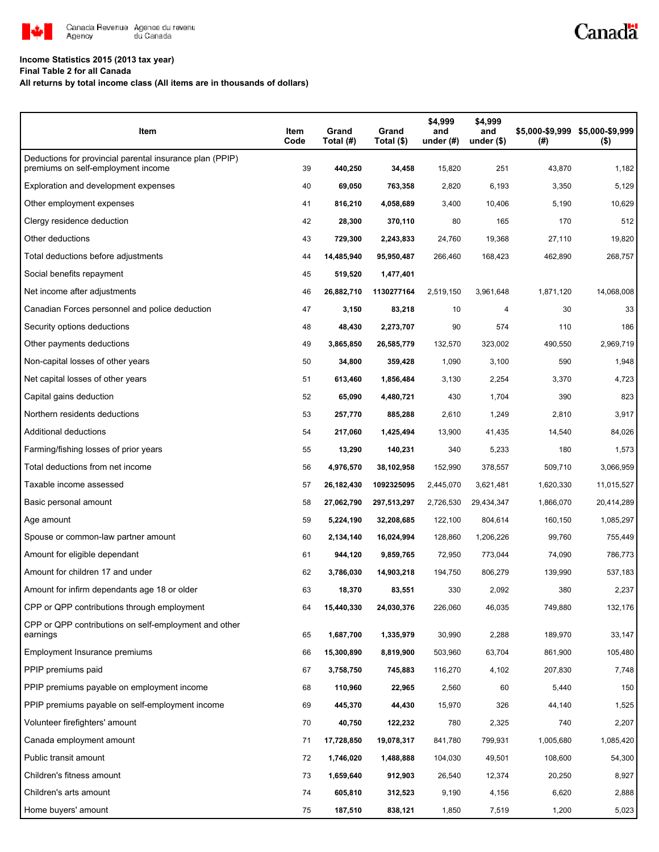

## **Income Statistics 2015 (2013 tax year)**

**Final Table 2 for all Canada**

#### **All returns by total income class (All items are in thousands of dollars)**

| Item                                                                                           | Item<br>Code | Grand<br>Total (#) | Grand<br>Total (\$) | \$4,999<br>and<br>under $(\#)$ | \$4,999<br>and<br>under $($)$ | \$5,000-\$9,999<br>(#) | \$5,000-\$9,999<br>$($ \$) |
|------------------------------------------------------------------------------------------------|--------------|--------------------|---------------------|--------------------------------|-------------------------------|------------------------|----------------------------|
| Deductions for provincial parental insurance plan (PPIP)<br>premiums on self-employment income | 39           | 440,250            | 34,458              | 15,820                         | 251                           | 43,870                 | 1,182                      |
| Exploration and development expenses                                                           | 40           | 69,050             | 763,358             | 2,820                          | 6,193                         | 3,350                  | 5,129                      |
| Other employment expenses                                                                      | 41           | 816,210            | 4,058,689           | 3,400                          | 10,406                        | 5,190                  | 10,629                     |
| Clergy residence deduction                                                                     | 42           | 28,300             | 370,110             | 80                             | 165                           | 170                    | 512                        |
| Other deductions                                                                               | 43           | 729,300            | 2,243,833           | 24,760                         | 19,368                        | 27,110                 | 19,820                     |
| Total deductions before adjustments                                                            | 44           | 14,485,940         | 95,950,487          | 266,460                        | 168,423                       | 462,890                | 268,757                    |
| Social benefits repayment                                                                      | 45           | 519,520            | 1,477,401           |                                |                               |                        |                            |
| Net income after adjustments                                                                   | 46           | 26,882,710         | 1130277164          | 2,519,150                      | 3,961,648                     | 1,871,120              | 14,068,008                 |
| Canadian Forces personnel and police deduction                                                 | 47           | 3,150              | 83,218              | 10                             | 4                             | 30                     | 33                         |
| Security options deductions                                                                    | 48           | 48,430             | 2,273,707           | 90                             | 574                           | 110                    | 186                        |
| Other payments deductions                                                                      | 49           | 3,865,850          | 26,585,779          | 132,570                        | 323,002                       | 490,550                | 2,969,719                  |
| Non-capital losses of other years                                                              | 50           | 34,800             | 359,428             | 1,090                          | 3,100                         | 590                    | 1,948                      |
| Net capital losses of other years                                                              | 51           | 613,460            | 1,856,484           | 3,130                          | 2,254                         | 3,370                  | 4,723                      |
| Capital gains deduction                                                                        | 52           | 65,090             | 4,480,721           | 430                            | 1,704                         | 390                    | 823                        |
| Northern residents deductions                                                                  | 53           | 257,770            | 885,288             | 2,610                          | 1,249                         | 2,810                  | 3,917                      |
| Additional deductions                                                                          | 54           | 217,060            | 1,425,494           | 13,900                         | 41,435                        | 14,540                 | 84,026                     |
| Farming/fishing losses of prior years                                                          | 55           | 13,290             | 140,231             | 340                            | 5,233                         | 180                    | 1,573                      |
| Total deductions from net income                                                               | 56           | 4,976,570          | 38,102,958          | 152,990                        | 378,557                       | 509,710                | 3,066,959                  |
| Taxable income assessed                                                                        | 57           | 26,182,430         | 1092325095          | 2,445,070                      | 3,621,481                     | 1,620,330              | 11,015,527                 |
| Basic personal amount                                                                          | 58           | 27,062,790         | 297,513,297         | 2,726,530                      | 29,434,347                    | 1,866,070              | 20,414,289                 |
| Age amount                                                                                     | 59           | 5,224,190          | 32,208,685          | 122,100                        | 804,614                       | 160,150                | 1,085,297                  |
| Spouse or common-law partner amount                                                            | 60           | 2,134,140          | 16,024,994          | 128,860                        | 1,206,226                     | 99,760                 | 755,449                    |
| Amount for eligible dependant                                                                  | 61           | 944,120            | 9,859,765           | 72,950                         | 773,044                       | 74,090                 | 786,773                    |
| Amount for children 17 and under                                                               | 62           | 3,786,030          | 14,903,218          | 194,750                        | 806,279                       | 139,990                | 537,183                    |
| Amount for infirm dependants age 18 or older                                                   | 63           | 18,370             | 83,551              | 330                            | 2,092                         | 380                    | 2,237                      |
| CPP or QPP contributions through employment                                                    | 64           | 15,440,330         | 24,030,376          | 226,060                        | 46,035                        | 749,880                | 132,176                    |
| CPP or QPP contributions on self-employment and other<br>earnings                              | 65           | 1,687,700          | 1,335,979           | 30,990                         | 2,288                         | 189,970                | 33,147                     |
| Employment Insurance premiums                                                                  | 66           | 15,300,890         | 8,819,900           | 503,960                        | 63,704                        | 861,900                | 105,480                    |
| PPIP premiums paid                                                                             | 67           | 3,758,750          | 745,883             | 116,270                        | 4,102                         | 207,830                | 7,748                      |
| PPIP premiums payable on employment income                                                     | 68           | 110,960            | 22,965              | 2,560                          | 60                            | 5,440                  | 150                        |
| PPIP premiums payable on self-employment income                                                | 69           | 445,370            | 44,430              | 15,970                         | 326                           | 44,140                 | 1,525                      |
| Volunteer firefighters' amount                                                                 | 70           | 40,750             | 122,232             | 780                            | 2,325                         | 740                    | 2,207                      |
| Canada employment amount                                                                       | 71           | 17,728,850         | 19,078,317          | 841,780                        | 799,931                       | 1,005,680              | 1,085,420                  |
| Public transit amount                                                                          | 72           | 1,746,020          | 1,488,888           | 104,030                        | 49,501                        | 108,600                | 54,300                     |
| Children's fitness amount                                                                      | 73           | 1,659,640          | 912,903             | 26,540                         | 12,374                        | 20,250                 | 8,927                      |
| Children's arts amount                                                                         | 74           | 605,810            | 312,523             | 9,190                          | 4,156                         | 6,620                  | 2,888                      |
| Home buyers' amount                                                                            | 75           | 187,510            | 838,121             | 1,850                          | 7,519                         | 1,200                  | 5,023                      |

Canadä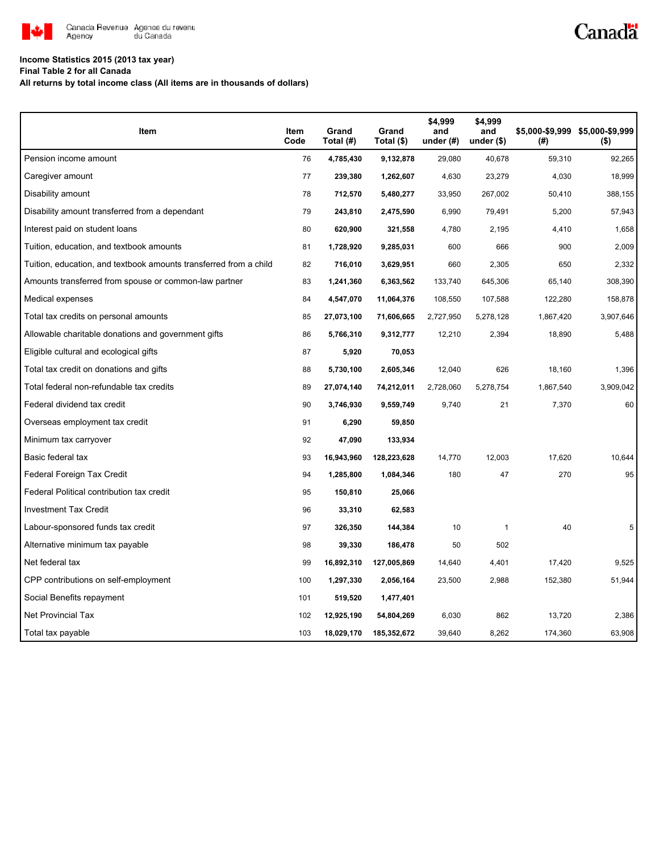

# Canadä

### **Income Statistics 2015 (2013 tax year)**

**Final Table 2 for all Canada**

**All returns by total income class (All items are in thousands of dollars)**

| Item                                                              | Item<br>Code | Grand<br>Total (#) | Grand<br>Total (\$) | \$4,999<br>and<br>under $(\#)$ | \$4,999<br>and<br>under $($)$ | (#)       | \$5,000-\$9,999 \$5,000-\$9,999<br>$($ \$) |
|-------------------------------------------------------------------|--------------|--------------------|---------------------|--------------------------------|-------------------------------|-----------|--------------------------------------------|
| Pension income amount                                             | 76           | 4,785,430          | 9,132,878           | 29,080                         | 40,678                        | 59,310    | 92,265                                     |
| Caregiver amount                                                  | 77           | 239,380            | 1,262,607           | 4,630                          | 23,279                        | 4,030     | 18,999                                     |
| Disability amount                                                 | 78           | 712,570            | 5,480,277           | 33,950                         | 267,002                       | 50,410    | 388,155                                    |
| Disability amount transferred from a dependant                    | 79           | 243,810            | 2,475,590           | 6,990                          | 79,491                        | 5,200     | 57,943                                     |
| Interest paid on student loans                                    | 80           | 620,900            | 321,558             | 4,780                          | 2,195                         | 4,410     | 1,658                                      |
| Tuition, education, and textbook amounts                          | 81           | 1,728,920          | 9,285,031           | 600                            | 666                           | 900       | 2,009                                      |
| Tuition, education, and textbook amounts transferred from a child | 82           | 716,010            | 3,629,951           | 660                            | 2,305                         | 650       | 2,332                                      |
| Amounts transferred from spouse or common-law partner             | 83           | 1,241,360          | 6,363,562           | 133,740                        | 645,306                       | 65,140    | 308,390                                    |
| Medical expenses                                                  | 84           | 4,547,070          | 11,064,376          | 108,550                        | 107,588                       | 122,280   | 158,878                                    |
| Total tax credits on personal amounts                             | 85           | 27,073,100         | 71,606,665          | 2,727,950                      | 5,278,128                     | 1,867,420 | 3,907,646                                  |
| Allowable charitable donations and government gifts               | 86           | 5,766,310          | 9,312,777           | 12,210                         | 2,394                         | 18,890    | 5,488                                      |
| Eligible cultural and ecological gifts                            | 87           | 5,920              | 70,053              |                                |                               |           |                                            |
| Total tax credit on donations and gifts                           | 88           | 5,730,100          | 2,605,346           | 12,040                         | 626                           | 18,160    | 1,396                                      |
| Total federal non-refundable tax credits                          | 89           | 27,074,140         | 74,212,011          | 2,728,060                      | 5,278,754                     | 1,867,540 | 3,909,042                                  |
| Federal dividend tax credit                                       | 90           | 3,746,930          | 9,559,749           | 9,740                          | 21                            | 7,370     | 60                                         |
| Overseas employment tax credit                                    | 91           | 6,290              | 59,850              |                                |                               |           |                                            |
| Minimum tax carryover                                             | 92           | 47,090             | 133,934             |                                |                               |           |                                            |
| Basic federal tax                                                 | 93           | 16,943,960         | 128,223,628         | 14,770                         | 12,003                        | 17,620    | 10,644                                     |
| Federal Foreign Tax Credit                                        | 94           | 1,285,800          | 1,084,346           | 180                            | 47                            | 270       | 95                                         |
| Federal Political contribution tax credit                         | 95           | 150,810            | 25,066              |                                |                               |           |                                            |
| <b>Investment Tax Credit</b>                                      | 96           | 33,310             | 62,583              |                                |                               |           |                                            |
| Labour-sponsored funds tax credit                                 | 97           | 326,350            | 144,384             | 10                             | $\mathbf{1}$                  | 40        | 5                                          |
| Alternative minimum tax payable                                   | 98           | 39,330             | 186,478             | 50                             | 502                           |           |                                            |
| Net federal tax                                                   | 99           | 16,892,310         | 127,005,869         | 14,640                         | 4,401                         | 17,420    | 9,525                                      |
| CPP contributions on self-employment                              | 100          | 1,297,330          | 2,056,164           | 23,500                         | 2,988                         | 152,380   | 51,944                                     |
| Social Benefits repayment                                         | 101          | 519,520            | 1,477,401           |                                |                               |           |                                            |
| <b>Net Provincial Tax</b>                                         | 102          | 12,925,190         | 54,804,269          | 6,030                          | 862                           | 13,720    | 2,386                                      |
| Total tax payable                                                 | 103          | 18,029,170         | 185,352,672         | 39,640                         | 8,262                         | 174,360   | 63,908                                     |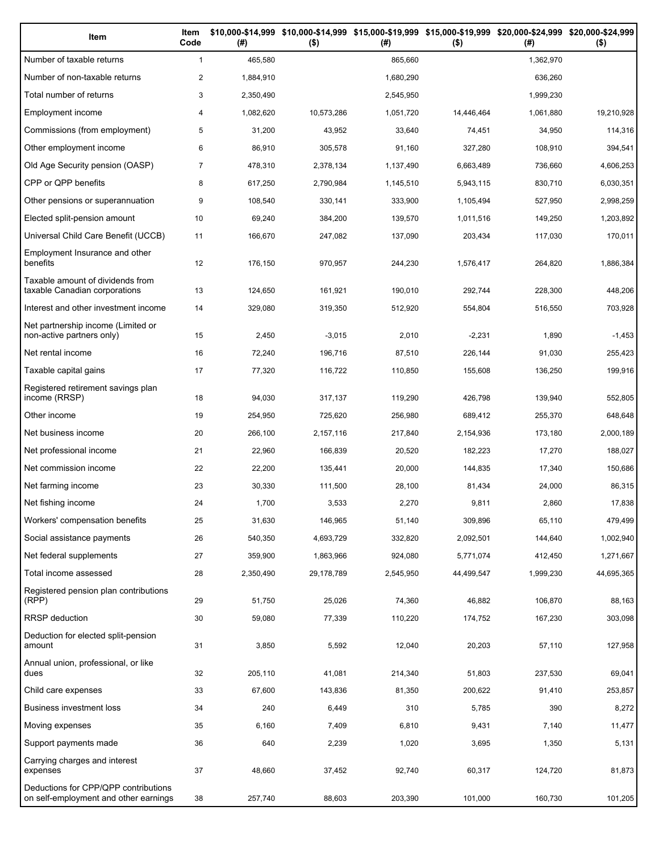| Item                                                                          | Item<br>Code   | (#)       | \$10,000-\$14,999 \$10,000-\$14,999 \$15,000-\$19,999 \$15,000-\$19,999 \$20,000-\$24,999 \$20,000-\$24,999<br>$($ \$) | (# )      | $($ \$)    | (#)       | $($ \$)    |
|-------------------------------------------------------------------------------|----------------|-----------|------------------------------------------------------------------------------------------------------------------------|-----------|------------|-----------|------------|
| Number of taxable returns                                                     | $\mathbf{1}$   | 465,580   |                                                                                                                        | 865,660   |            | 1,362,970 |            |
| Number of non-taxable returns                                                 | $\overline{2}$ | 1,884,910 |                                                                                                                        | 1,680,290 |            | 636,260   |            |
| Total number of returns                                                       | 3              | 2,350,490 |                                                                                                                        | 2,545,950 |            | 1,999,230 |            |
| Employment income                                                             | 4              | 1,082,620 | 10,573,286                                                                                                             | 1,051,720 | 14,446,464 | 1,061,880 | 19,210,928 |
| Commissions (from employment)                                                 | 5              | 31,200    | 43,952                                                                                                                 | 33,640    | 74,451     | 34,950    | 114,316    |
| Other employment income                                                       | 6              | 86,910    | 305,578                                                                                                                | 91,160    | 327,280    | 108,910   | 394,541    |
| Old Age Security pension (OASP)                                               | $\overline{7}$ | 478,310   | 2,378,134                                                                                                              | 1,137,490 | 6,663,489  | 736,660   | 4,606,253  |
| CPP or QPP benefits                                                           | 8              | 617,250   | 2,790,984                                                                                                              | 1,145,510 | 5,943,115  | 830,710   | 6,030,351  |
| Other pensions or superannuation                                              | 9              | 108,540   | 330,141                                                                                                                | 333,900   | 1,105,494  | 527,950   | 2,998,259  |
| Elected split-pension amount                                                  | 10             | 69,240    | 384,200                                                                                                                | 139,570   | 1,011,516  | 149,250   | 1,203,892  |
| Universal Child Care Benefit (UCCB)                                           | 11             | 166,670   | 247,082                                                                                                                | 137,090   | 203,434    | 117,030   | 170,011    |
| Employment Insurance and other<br>benefits                                    | 12             | 176,150   | 970,957                                                                                                                | 244,230   | 1,576,417  | 264,820   | 1,886,384  |
| Taxable amount of dividends from<br>taxable Canadian corporations             | 13             | 124,650   | 161,921                                                                                                                | 190,010   | 292,744    | 228,300   | 448,206    |
| Interest and other investment income                                          | 14             | 329,080   | 319,350                                                                                                                | 512,920   | 554,804    | 516,550   | 703,928    |
| Net partnership income (Limited or<br>non-active partners only)               | 15             | 2,450     | $-3,015$                                                                                                               | 2,010     | $-2,231$   | 1,890     | $-1,453$   |
| Net rental income                                                             | 16             | 72,240    | 196,716                                                                                                                | 87,510    | 226,144    | 91,030    | 255,423    |
| Taxable capital gains                                                         | 17             | 77,320    | 116,722                                                                                                                | 110,850   | 155,608    | 136,250   | 199,916    |
| Registered retirement savings plan<br>income (RRSP)                           | 18             | 94,030    | 317,137                                                                                                                | 119,290   | 426,798    | 139,940   | 552,805    |
| Other income                                                                  | 19             | 254,950   | 725,620                                                                                                                | 256,980   | 689,412    | 255,370   | 648,648    |
| Net business income                                                           | 20             | 266,100   | 2,157,116                                                                                                              | 217,840   | 2,154,936  | 173,180   | 2,000,189  |
| Net professional income                                                       | 21             | 22,960    | 166,839                                                                                                                | 20,520    | 182,223    | 17,270    | 188,027    |
| Net commission income                                                         | 22             | 22,200    | 135,441                                                                                                                | 20,000    | 144,835    | 17,340    | 150,686    |
| Net farming income                                                            | 23             | 30,330    | 111,500                                                                                                                | 28,100    | 81,434     | 24,000    | 86,315     |
| Net fishing income                                                            | 24             | 1,700     | 3,533                                                                                                                  | 2,270     | 9,811      | 2,860     | 17,838     |
| Workers' compensation benefits                                                | 25             | 31,630    | 146,965                                                                                                                | 51,140    | 309,896    | 65,110    | 479,499    |
| Social assistance payments                                                    | 26             | 540,350   | 4,693,729                                                                                                              | 332,820   | 2,092,501  | 144,640   | 1,002,940  |
| Net federal supplements                                                       | 27             | 359,900   | 1,863,966                                                                                                              | 924,080   | 5,771,074  | 412,450   | 1,271,667  |
| Total income assessed                                                         | 28             | 2,350,490 | 29,178,789                                                                                                             | 2,545,950 | 44,499,547 | 1,999,230 | 44,695,365 |
| Registered pension plan contributions<br>(RPP)                                | 29             | 51,750    | 25,026                                                                                                                 | 74,360    | 46,882     | 106,870   | 88,163     |
| RRSP deduction                                                                | 30             | 59,080    | 77,339                                                                                                                 | 110,220   | 174,752    | 167,230   | 303,098    |
| Deduction for elected split-pension<br>amount                                 | 31             | 3,850     | 5,592                                                                                                                  | 12,040    | 20,203     | 57,110    | 127,958    |
| Annual union, professional, or like<br>dues                                   | 32             | 205,110   | 41,081                                                                                                                 | 214,340   | 51,803     | 237,530   | 69,041     |
| Child care expenses                                                           | 33             | 67,600    | 143,836                                                                                                                | 81,350    | 200,622    | 91,410    | 253,857    |
| Business investment loss                                                      | 34             | 240       | 6,449                                                                                                                  | 310       | 5,785      | 390       | 8,272      |
| Moving expenses                                                               | 35             | 6,160     | 7,409                                                                                                                  | 6,810     | 9,431      | 7,140     | 11,477     |
| Support payments made                                                         | 36             | 640       | 2,239                                                                                                                  | 1,020     | 3,695      | 1,350     | 5,131      |
| Carrying charges and interest<br>expenses                                     | 37             | 48,660    | 37,452                                                                                                                 | 92,740    | 60,317     | 124,720   | 81,873     |
| Deductions for CPP/QPP contributions<br>on self-employment and other earnings | 38             | 257,740   | 88,603                                                                                                                 | 203,390   | 101,000    | 160,730   | 101,205    |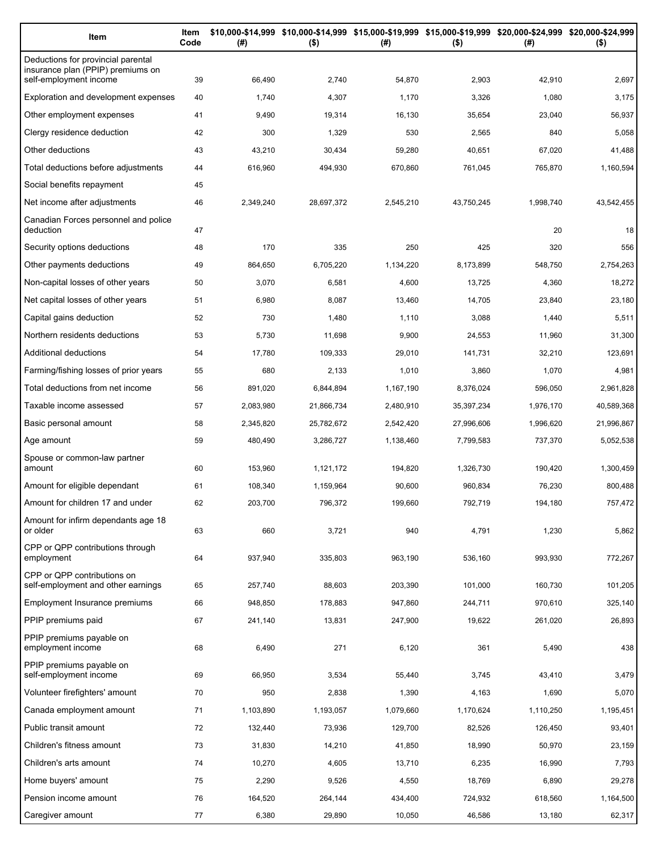| Item                                                                    | Item<br>Code | (#)       | $($ \$)    | (#)       | $($ \$)    | \$10,000-\$14,999 \$10,000-\$14,999 \$15,000-\$19,999 \$15,000-\$19,999 \$20,000-\$24,999 \$20,000-\$24,999<br>(#) | $($ \$)    |
|-------------------------------------------------------------------------|--------------|-----------|------------|-----------|------------|--------------------------------------------------------------------------------------------------------------------|------------|
| Deductions for provincial parental<br>insurance plan (PPIP) premiums on |              |           |            |           |            |                                                                                                                    |            |
| self-employment income                                                  | 39           | 66,490    | 2,740      | 54,870    | 2,903      | 42,910                                                                                                             | 2,697      |
| Exploration and development expenses                                    | 40           | 1,740     | 4,307      | 1,170     | 3,326      | 1,080                                                                                                              | 3,175      |
| Other employment expenses                                               | 41           | 9,490     | 19,314     | 16,130    | 35,654     | 23,040                                                                                                             | 56,937     |
| Clergy residence deduction                                              | 42           | 300       | 1,329      | 530       | 2,565      | 840                                                                                                                | 5,058      |
| Other deductions                                                        | 43           | 43,210    | 30,434     | 59,280    | 40,651     | 67,020                                                                                                             | 41,488     |
| Total deductions before adjustments                                     | 44           | 616,960   | 494,930    | 670,860   | 761,045    | 765,870                                                                                                            | 1,160,594  |
| Social benefits repayment                                               | 45           |           |            |           |            |                                                                                                                    |            |
| Net income after adjustments                                            | 46           | 2,349,240 | 28,697,372 | 2,545,210 | 43,750,245 | 1,998,740                                                                                                          | 43,542,455 |
| Canadian Forces personnel and police<br>deduction                       | 47           |           |            |           |            | 20                                                                                                                 | 18         |
| Security options deductions                                             | 48           | 170       | 335        | 250       | 425        | 320                                                                                                                | 556        |
| Other payments deductions                                               | 49           | 864,650   | 6,705,220  | 1,134,220 | 8,173,899  | 548,750                                                                                                            | 2,754,263  |
| Non-capital losses of other years                                       | 50           | 3,070     | 6,581      | 4,600     | 13,725     | 4,360                                                                                                              | 18,272     |
| Net capital losses of other years                                       | 51           | 6,980     | 8,087      | 13,460    | 14,705     | 23,840                                                                                                             | 23,180     |
| Capital gains deduction                                                 | 52           | 730       | 1,480      | 1,110     | 3,088      | 1,440                                                                                                              | 5,511      |
| Northern residents deductions                                           | 53           | 5,730     | 11,698     | 9,900     | 24,553     | 11,960                                                                                                             | 31,300     |
| Additional deductions                                                   | 54           | 17,780    | 109,333    | 29,010    | 141,731    | 32,210                                                                                                             | 123,691    |
| Farming/fishing losses of prior years                                   | 55           | 680       | 2,133      | 1,010     | 3,860      | 1,070                                                                                                              | 4,981      |
| Total deductions from net income                                        | 56           | 891,020   | 6,844,894  | 1,167,190 | 8,376,024  | 596,050                                                                                                            | 2,961,828  |
| Taxable income assessed                                                 | 57           | 2,083,980 | 21,866,734 | 2,480,910 | 35,397,234 | 1,976,170                                                                                                          | 40,589,368 |
| Basic personal amount                                                   | 58           | 2,345,820 | 25,782,672 | 2,542,420 | 27,996,606 | 1,996,620                                                                                                          | 21,996,867 |
| Age amount                                                              | 59           | 480,490   | 3,286,727  | 1,138,460 | 7,799,583  | 737,370                                                                                                            | 5,052,538  |
| Spouse or common-law partner<br>amount                                  | 60           | 153,960   | 1,121,172  | 194,820   | 1,326,730  | 190,420                                                                                                            | 1,300,459  |
| Amount for eligible dependant                                           | 61           | 108,340   | 1,159,964  | 90,600    | 960,834    | 76,230                                                                                                             | 800,488    |
| Amount for children 17 and under                                        | 62           | 203,700   | 796,372    | 199,660   | 792,719    | 194,180                                                                                                            | 757,472    |
| Amount for infirm dependants age 18                                     |              |           |            |           |            |                                                                                                                    |            |
| or older<br>CPP or QPP contributions through                            | 63           | 660       | 3,721      | 940       | 4,791      | 1,230                                                                                                              | 5,862      |
| employment                                                              | 64           | 937,940   | 335,803    | 963,190   | 536,160    | 993,930                                                                                                            | 772,267    |
| CPP or QPP contributions on<br>self-employment and other earnings       | 65           | 257,740   | 88,603     | 203,390   | 101,000    | 160,730                                                                                                            | 101,205    |
| Employment Insurance premiums                                           | 66           | 948,850   | 178,883    | 947,860   | 244,711    | 970,610                                                                                                            | 325,140    |
| PPIP premiums paid                                                      | 67           | 241,140   | 13,831     | 247,900   | 19,622     | 261,020                                                                                                            | 26,893     |
| PPIP premiums payable on<br>employment income                           | 68           | 6,490     | 271        | 6,120     | 361        | 5,490                                                                                                              | 438        |
| PPIP premiums payable on<br>self-employment income                      | 69           | 66,950    | 3,534      | 55,440    | 3,745      | 43,410                                                                                                             | 3,479      |
| Volunteer firefighters' amount                                          | 70           | 950       | 2,838      | 1,390     | 4,163      | 1,690                                                                                                              | 5,070      |
| Canada employment amount                                                | 71           | 1,103,890 | 1,193,057  | 1,079,660 | 1,170,624  | 1,110,250                                                                                                          | 1,195,451  |
| Public transit amount                                                   | 72           | 132,440   | 73,936     | 129,700   | 82,526     | 126,450                                                                                                            | 93,401     |
| Children's fitness amount                                               | 73           | 31,830    | 14,210     | 41,850    | 18,990     | 50,970                                                                                                             | 23,159     |
| Children's arts amount                                                  | 74           | 10,270    | 4,605      | 13,710    | 6,235      | 16,990                                                                                                             | 7,793      |
| Home buyers' amount                                                     | 75           | 2,290     | 9,526      | 4,550     | 18,769     | 6,890                                                                                                              | 29,278     |
| Pension income amount                                                   | 76           | 164,520   | 264,144    | 434,400   | 724,932    | 618,560                                                                                                            | 1,164,500  |
| Caregiver amount                                                        | 77           | 6,380     | 29,890     | 10,050    | 46,586     | 13,180                                                                                                             | 62,317     |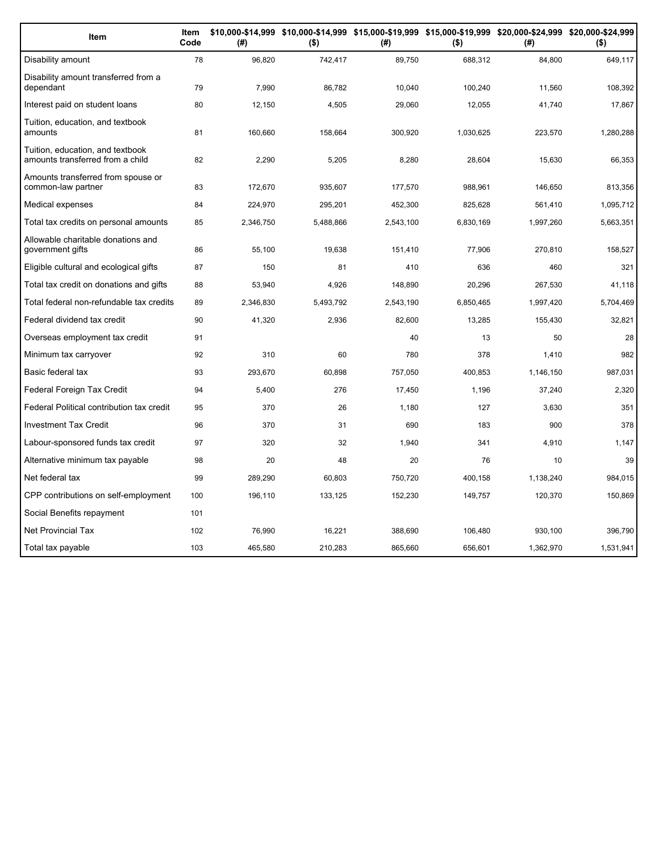| Item                                                                 | Item<br>Code | (#)       | $($ \$)   | (#)       | $($ \$)   | \$10,000-\$14,999 \$10,000-\$14,999 \$15,000-\$19,999 \$15,000-\$19,999 \$20,000-\$24,999 \$20,000-\$24,999<br>(# ) | $($ \$)   |
|----------------------------------------------------------------------|--------------|-----------|-----------|-----------|-----------|---------------------------------------------------------------------------------------------------------------------|-----------|
| Disability amount                                                    | 78           | 96,820    | 742,417   | 89,750    | 688,312   | 84,800                                                                                                              | 649,117   |
| Disability amount transferred from a<br>dependant                    | 79           | 7.990     | 86.782    | 10.040    | 100,240   | 11,560                                                                                                              | 108,392   |
| Interest paid on student loans                                       | 80           | 12,150    | 4,505     | 29,060    | 12,055    | 41,740                                                                                                              | 17,867    |
| Tuition, education, and textbook<br>amounts                          | 81           | 160,660   | 158,664   | 300,920   | 1,030,625 | 223,570                                                                                                             | 1,280,288 |
| Tuition, education, and textbook<br>amounts transferred from a child | 82           | 2,290     | 5,205     | 8,280     | 28,604    | 15,630                                                                                                              | 66,353    |
| Amounts transferred from spouse or<br>common-law partner             | 83           | 172,670   | 935,607   | 177,570   | 988,961   | 146,650                                                                                                             | 813,356   |
| Medical expenses                                                     | 84           | 224,970   | 295,201   | 452,300   | 825,628   | 561,410                                                                                                             | 1,095,712 |
| Total tax credits on personal amounts                                | 85           | 2,346,750 | 5,488,866 | 2,543,100 | 6,830,169 | 1,997,260                                                                                                           | 5,663,351 |
| Allowable charitable donations and<br>government gifts               | 86           | 55,100    | 19,638    | 151,410   | 77,906    | 270,810                                                                                                             | 158,527   |
| Eligible cultural and ecological gifts                               | 87           | 150       | 81        | 410       | 636       | 460                                                                                                                 | 321       |
| Total tax credit on donations and gifts                              | 88           | 53,940    | 4,926     | 148,890   | 20,296    | 267,530                                                                                                             | 41,118    |
| Total federal non-refundable tax credits                             | 89           | 2,346,830 | 5,493,792 | 2,543,190 | 6,850,465 | 1,997,420                                                                                                           | 5,704,469 |
| Federal dividend tax credit                                          | 90           | 41,320    | 2,936     | 82,600    | 13,285    | 155,430                                                                                                             | 32,821    |
| Overseas employment tax credit                                       | 91           |           |           | 40        | 13        | 50                                                                                                                  | 28        |
| Minimum tax carryover                                                | 92           | 310       | 60        | 780       | 378       | 1,410                                                                                                               | 982       |
| Basic federal tax                                                    | 93           | 293,670   | 60,898    | 757,050   | 400,853   | 1,146,150                                                                                                           | 987,031   |
| Federal Foreign Tax Credit                                           | 94           | 5,400     | 276       | 17,450    | 1,196     | 37,240                                                                                                              | 2,320     |
| Federal Political contribution tax credit                            | 95           | 370       | 26        | 1,180     | 127       | 3,630                                                                                                               | 351       |
| <b>Investment Tax Credit</b>                                         | 96           | 370       | 31        | 690       | 183       | 900                                                                                                                 | 378       |
| Labour-sponsored funds tax credit                                    | 97           | 320       | 32        | 1,940     | 341       | 4,910                                                                                                               | 1,147     |
| Alternative minimum tax payable                                      | 98           | 20        | 48        | 20        | 76        | 10                                                                                                                  | 39        |
| Net federal tax                                                      | 99           | 289,290   | 60,803    | 750,720   | 400,158   | 1,138,240                                                                                                           | 984,015   |
| CPP contributions on self-employment                                 | 100          | 196,110   | 133,125   | 152,230   | 149,757   | 120,370                                                                                                             | 150,869   |
| Social Benefits repayment                                            | 101          |           |           |           |           |                                                                                                                     |           |
| Net Provincial Tax                                                   | 102          | 76,990    | 16,221    | 388,690   | 106,480   | 930,100                                                                                                             | 396,790   |
| Total tax payable                                                    | 103          | 465,580   | 210,283   | 865,660   | 656,601   | 1,362,970                                                                                                           | 1,531,941 |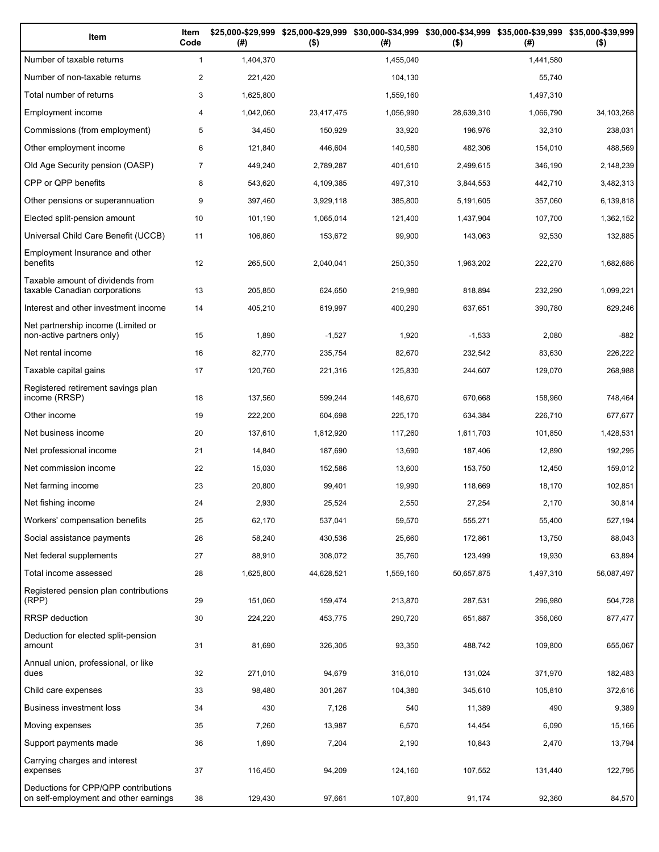| Item                                                                          | Item<br>Code   | (#)       | \$25,000-\$29,999 \$25,000-\$29,999<br>$($ \$) | (# )      | \$30,000-\$34,999 \$30,000-\$34,999 \$35,000-\$39,999 \$35,000-\$39,999<br>$($ \$) | (#)       | $($ \$)    |
|-------------------------------------------------------------------------------|----------------|-----------|------------------------------------------------|-----------|------------------------------------------------------------------------------------|-----------|------------|
| Number of taxable returns                                                     | $\mathbf{1}$   | 1,404,370 |                                                | 1,455,040 |                                                                                    | 1,441,580 |            |
| Number of non-taxable returns                                                 | $\overline{c}$ | 221,420   |                                                | 104,130   |                                                                                    | 55.740    |            |
| Total number of returns                                                       | 3              | 1,625,800 |                                                | 1,559,160 |                                                                                    | 1,497,310 |            |
| Employment income                                                             | 4              | 1,042,060 | 23,417,475                                     | 1,056,990 | 28,639,310                                                                         | 1,066,790 | 34,103,268 |
| Commissions (from employment)                                                 | 5              | 34,450    | 150,929                                        | 33,920    | 196,976                                                                            | 32,310    | 238,031    |
| Other employment income                                                       | 6              | 121,840   | 446,604                                        | 140,580   | 482,306                                                                            | 154,010   | 488,569    |
| Old Age Security pension (OASP)                                               | 7              | 449,240   | 2,789,287                                      | 401,610   | 2,499,615                                                                          | 346,190   | 2,148,239  |
| CPP or QPP benefits                                                           | 8              | 543,620   | 4,109,385                                      | 497,310   | 3,844,553                                                                          | 442,710   | 3,482,313  |
| Other pensions or superannuation                                              | 9              | 397,460   | 3,929,118                                      | 385,800   | 5,191,605                                                                          | 357,060   | 6,139,818  |
| Elected split-pension amount                                                  | 10             | 101,190   | 1,065,014                                      | 121,400   | 1,437,904                                                                          | 107,700   | 1,362,152  |
| Universal Child Care Benefit (UCCB)                                           | 11             | 106,860   | 153,672                                        | 99,900    | 143,063                                                                            | 92,530    | 132,885    |
| Employment Insurance and other<br>benefits                                    | 12             | 265,500   | 2,040,041                                      | 250,350   | 1,963,202                                                                          | 222,270   | 1,682,686  |
| Taxable amount of dividends from<br>taxable Canadian corporations             | 13             | 205,850   | 624,650                                        | 219,980   | 818,894                                                                            | 232,290   | 1,099,221  |
| Interest and other investment income                                          | 14             | 405,210   | 619,997                                        | 400,290   | 637,651                                                                            | 390,780   | 629,246    |
| Net partnership income (Limited or<br>non-active partners only)               | 15             | 1,890     | $-1,527$                                       | 1,920     | $-1,533$                                                                           | 2,080     | $-882$     |
| Net rental income                                                             | 16             | 82,770    | 235,754                                        | 82,670    | 232,542                                                                            | 83,630    | 226,222    |
| Taxable capital gains                                                         | 17             | 120,760   | 221,316                                        | 125,830   | 244,607                                                                            | 129,070   | 268,988    |
| Registered retirement savings plan<br>income (RRSP)                           | 18             | 137,560   | 599,244                                        | 148,670   | 670,668                                                                            | 158,960   | 748,464    |
| Other income                                                                  | 19             | 222,200   | 604,698                                        | 225,170   | 634,384                                                                            | 226,710   | 677,677    |
| Net business income                                                           | 20             | 137,610   | 1,812,920                                      | 117,260   | 1,611,703                                                                          | 101,850   | 1,428,531  |
| Net professional income                                                       | 21             | 14,840    | 187,690                                        | 13,690    | 187,406                                                                            | 12,890    | 192,295    |
| Net commission income                                                         | 22             | 15,030    | 152,586                                        | 13,600    | 153,750                                                                            | 12,450    | 159,012    |
| Net farming income                                                            | 23             | 20,800    | 99,401                                         | 19,990    | 118,669                                                                            | 18,170    | 102,851    |
| Net fishing income                                                            | 24             | 2,930     | 25,524                                         | 2,550     | 27,254                                                                             | 2,170     | 30,814     |
| Workers' compensation benefits                                                | 25             | 62,170    | 537,041                                        | 59,570    | 555,271                                                                            | 55,400    | 527,194    |
| Social assistance payments                                                    | 26             | 58,240    | 430,536                                        | 25,660    | 172,861                                                                            | 13,750    | 88,043     |
| Net federal supplements                                                       | 27             | 88,910    | 308,072                                        | 35,760    | 123,499                                                                            | 19,930    | 63,894     |
| Total income assessed                                                         | 28             | 1,625,800 | 44,628,521                                     | 1,559,160 | 50,657,875                                                                         | 1,497,310 | 56,087,497 |
| Registered pension plan contributions<br>(RPP)                                | 29             | 151,060   | 159,474                                        | 213,870   | 287,531                                                                            | 296,980   | 504,728    |
| <b>RRSP</b> deduction                                                         | 30             | 224,220   | 453,775                                        | 290,720   | 651,887                                                                            | 356,060   | 877,477    |
| Deduction for elected split-pension<br>amount                                 | 31             | 81,690    | 326,305                                        | 93,350    | 488,742                                                                            | 109,800   | 655,067    |
| Annual union, professional, or like<br>dues                                   | 32             | 271,010   | 94,679                                         | 316,010   | 131,024                                                                            | 371,970   | 182,483    |
| Child care expenses                                                           | 33             | 98,480    | 301,267                                        | 104,380   | 345,610                                                                            | 105,810   | 372,616    |
| Business investment loss                                                      | 34             | 430       | 7,126                                          | 540       | 11,389                                                                             | 490       | 9,389      |
| Moving expenses                                                               | 35             | 7,260     | 13,987                                         | 6,570     | 14,454                                                                             | 6,090     | 15,166     |
| Support payments made                                                         | 36             | 1,690     | 7,204                                          | 2,190     | 10,843                                                                             | 2,470     | 13,794     |
| Carrying charges and interest<br>expenses                                     | 37             | 116,450   | 94,209                                         | 124,160   | 107,552                                                                            | 131,440   | 122,795    |
| Deductions for CPP/QPP contributions<br>on self-employment and other earnings | 38             | 129,430   | 97,661                                         | 107,800   | 91,174                                                                             | 92,360    | 84,570     |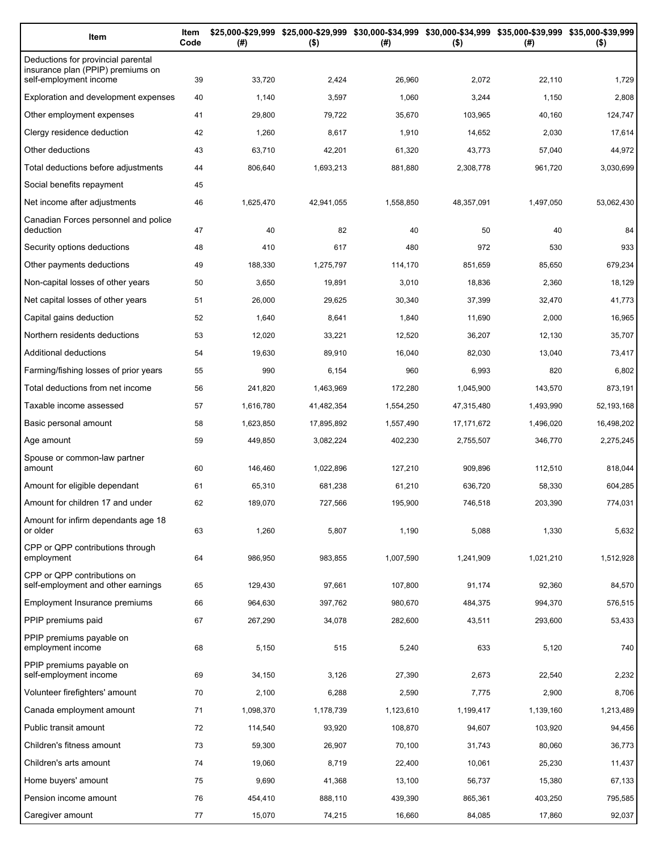| Item                                                                    | Item<br>Code | (#)       | \$25,000-\$29,999 \$25,000-\$29,999 \$30,000-\$34,999 \$30,000-\$34,999 \$35,000-\$39,999 \$35,000-\$39,999<br>$($ \$) | (#)       | $($ \$)    | (#)       | $($ \$)    |
|-------------------------------------------------------------------------|--------------|-----------|------------------------------------------------------------------------------------------------------------------------|-----------|------------|-----------|------------|
| Deductions for provincial parental<br>insurance plan (PPIP) premiums on |              |           |                                                                                                                        |           |            |           |            |
| self-employment income                                                  | 39           | 33,720    | 2,424                                                                                                                  | 26,960    | 2,072      | 22,110    | 1,729      |
| Exploration and development expenses                                    | 40           | 1,140     | 3,597                                                                                                                  | 1,060     | 3,244      | 1,150     | 2,808      |
| Other employment expenses                                               | 41           | 29,800    | 79,722                                                                                                                 | 35,670    | 103,965    | 40,160    | 124,747    |
| Clergy residence deduction                                              | 42           | 1,260     | 8,617                                                                                                                  | 1,910     | 14,652     | 2,030     | 17,614     |
| Other deductions                                                        | 43           | 63,710    | 42,201                                                                                                                 | 61,320    | 43,773     | 57,040    | 44,972     |
| Total deductions before adjustments                                     | 44           | 806,640   | 1,693,213                                                                                                              | 881,880   | 2,308,778  | 961,720   | 3,030,699  |
| Social benefits repayment                                               | 45           |           |                                                                                                                        |           |            |           |            |
| Net income after adjustments                                            | 46           | 1,625,470 | 42,941,055                                                                                                             | 1,558,850 | 48,357,091 | 1,497,050 | 53,062,430 |
| Canadian Forces personnel and police<br>deduction                       | 47           | 40        | 82                                                                                                                     | 40        | 50         | 40        | 84         |
| Security options deductions                                             | 48           | 410       | 617                                                                                                                    | 480       | 972        | 530       | 933        |
| Other payments deductions                                               | 49           | 188,330   | 1,275,797                                                                                                              | 114,170   | 851,659    | 85.650    | 679,234    |
| Non-capital losses of other years                                       | 50           | 3,650     | 19,891                                                                                                                 | 3,010     | 18,836     | 2,360     | 18,129     |
| Net capital losses of other years                                       | 51           | 26,000    | 29,625                                                                                                                 | 30,340    | 37,399     | 32,470    | 41,773     |
| Capital gains deduction                                                 | 52           | 1,640     | 8,641                                                                                                                  | 1,840     | 11,690     | 2,000     | 16,965     |
| Northern residents deductions                                           | 53           | 12,020    | 33,221                                                                                                                 | 12,520    | 36,207     | 12,130    | 35,707     |
| Additional deductions                                                   | 54           | 19,630    | 89,910                                                                                                                 | 16,040    | 82,030     | 13,040    | 73,417     |
| Farming/fishing losses of prior years                                   | 55           | 990       | 6,154                                                                                                                  | 960       | 6,993      | 820       | 6,802      |
| Total deductions from net income                                        | 56           | 241,820   | 1,463,969                                                                                                              | 172,280   | 1,045,900  | 143,570   | 873,191    |
| Taxable income assessed                                                 | 57           | 1,616,780 | 41,482,354                                                                                                             | 1,554,250 | 47,315,480 | 1,493,990 | 52,193,168 |
| Basic personal amount                                                   | 58           | 1,623,850 | 17,895,892                                                                                                             | 1,557,490 | 17,171,672 | 1,496,020 | 16,498,202 |
| Age amount                                                              | 59           | 449,850   | 3,082,224                                                                                                              | 402,230   | 2,755,507  | 346,770   | 2,275,245  |
| Spouse or common-law partner<br>amount                                  | 60           | 146,460   | 1,022,896                                                                                                              | 127,210   | 909,896    | 112,510   | 818,044    |
| Amount for eligible dependant                                           | 61           | 65,310    | 681,238                                                                                                                | 61,210    | 636,720    | 58,330    | 604,285    |
| Amount for children 17 and under                                        | 62           | 189,070   | 727,566                                                                                                                | 195,900   | 746,518    | 203,390   | 774,031    |
| Amount for infirm dependants age 18                                     |              |           |                                                                                                                        |           |            |           |            |
| or older                                                                | 63           | 1,260     | 5,807                                                                                                                  | 1,190     | 5,088      | 1,330     | 5,632      |
| CPP or QPP contributions through<br>employment                          | 64           | 986,950   | 983,855                                                                                                                | 1,007,590 | 1,241,909  | 1,021,210 | 1,512,928  |
| CPP or QPP contributions on<br>self-employment and other earnings       | 65           | 129,430   | 97,661                                                                                                                 | 107,800   | 91,174     | 92,360    | 84,570     |
| Employment Insurance premiums                                           | 66           | 964,630   | 397,762                                                                                                                | 980,670   | 484,375    | 994,370   | 576,515    |
| PPIP premiums paid                                                      | 67           | 267,290   | 34,078                                                                                                                 | 282,600   | 43,511     | 293,600   | 53,433     |
| PPIP premiums payable on<br>employment income                           | 68           | 5,150     | 515                                                                                                                    | 5,240     | 633        | 5,120     | 740        |
| PPIP premiums payable on<br>self-employment income                      | 69           | 34,150    | 3,126                                                                                                                  | 27,390    | 2,673      | 22,540    | 2,232      |
| Volunteer firefighters' amount                                          | 70           | 2,100     | 6,288                                                                                                                  | 2,590     | 7,775      | 2,900     | 8,706      |
| Canada employment amount                                                | 71           | 1,098,370 | 1,178,739                                                                                                              | 1,123,610 | 1,199,417  | 1,139,160 | 1,213,489  |
| Public transit amount                                                   | 72           | 114,540   | 93,920                                                                                                                 | 108,870   | 94,607     | 103,920   | 94,456     |
| Children's fitness amount                                               | 73           | 59,300    | 26,907                                                                                                                 | 70,100    | 31,743     | 80,060    | 36,773     |
| Children's arts amount                                                  | 74           | 19,060    | 8,719                                                                                                                  | 22,400    | 10,061     | 25,230    | 11,437     |
| Home buyers' amount                                                     | 75           | 9,690     | 41,368                                                                                                                 | 13,100    | 56,737     | 15,380    | 67,133     |
| Pension income amount                                                   | 76           | 454,410   | 888,110                                                                                                                | 439,390   | 865,361    | 403,250   | 795,585    |
| Caregiver amount                                                        | 77           | 15,070    | 74,215                                                                                                                 | 16,660    | 84,085     | 17,860    | 92,037     |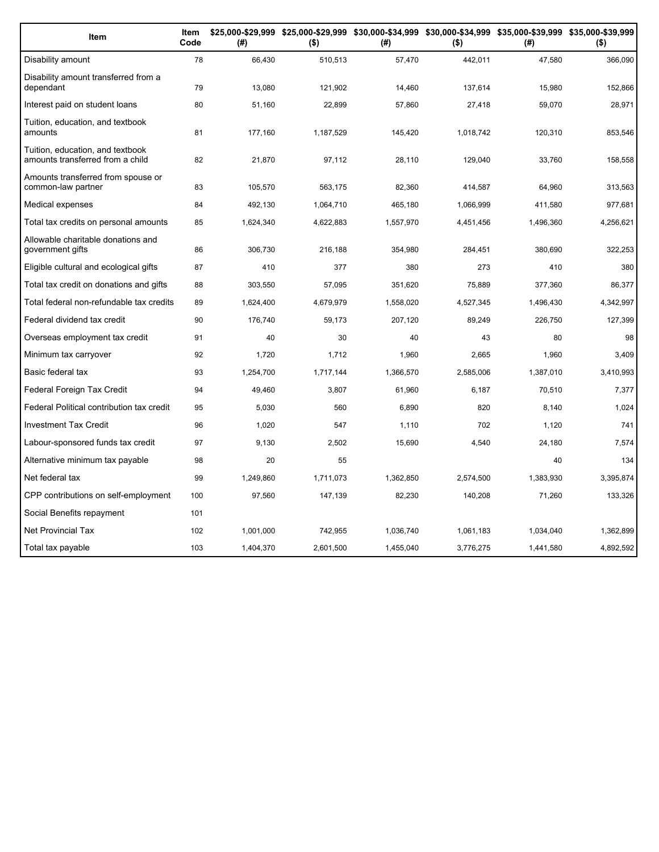| Item                                                                 | Item<br>Code | (#)       | $($ \$)   | (#)       | $($ \$)   | \$25,000-\$29,999 \$25,000-\$29,999 \$30,000-\$34,999 \$30,000-\$34,999 \$35,000-\$39,999 \$35,000-\$39,999<br>(# ) | $($ \$)   |
|----------------------------------------------------------------------|--------------|-----------|-----------|-----------|-----------|---------------------------------------------------------------------------------------------------------------------|-----------|
| Disability amount                                                    | 78           | 66,430    | 510,513   | 57,470    | 442,011   | 47,580                                                                                                              | 366,090   |
| Disability amount transferred from a<br>dependant                    | 79           | 13,080    | 121,902   | 14,460    | 137,614   | 15,980                                                                                                              | 152,866   |
| Interest paid on student loans                                       | 80           | 51,160    | 22,899    | 57,860    | 27,418    | 59,070                                                                                                              | 28,971    |
| Tuition, education, and textbook<br>amounts                          | 81           | 177,160   | 1,187,529 | 145,420   | 1,018,742 | 120,310                                                                                                             | 853,546   |
| Tuition, education, and textbook<br>amounts transferred from a child | 82           | 21,870    | 97,112    | 28,110    | 129,040   | 33,760                                                                                                              | 158,558   |
| Amounts transferred from spouse or<br>common-law partner             | 83           | 105,570   | 563,175   | 82,360    | 414,587   | 64,960                                                                                                              | 313,563   |
| Medical expenses                                                     | 84           | 492,130   | 1,064,710 | 465,180   | 1,066,999 | 411,580                                                                                                             | 977,681   |
| Total tax credits on personal amounts                                | 85           | 1,624,340 | 4,622,883 | 1,557,970 | 4,451,456 | 1,496,360                                                                                                           | 4,256,621 |
| Allowable charitable donations and<br>government gifts               | 86           | 306,730   | 216,188   | 354,980   | 284,451   | 380,690                                                                                                             | 322,253   |
| Eligible cultural and ecological gifts                               | 87           | 410       | 377       | 380       | 273       | 410                                                                                                                 | 380       |
| Total tax credit on donations and gifts                              | 88           | 303.550   | 57,095    | 351,620   | 75.889    | 377,360                                                                                                             | 86,377    |
| Total federal non-refundable tax credits                             | 89           | 1,624,400 | 4,679,979 | 1,558,020 | 4,527,345 | 1,496,430                                                                                                           | 4,342,997 |
| Federal dividend tax credit                                          | 90           | 176,740   | 59,173    | 207,120   | 89,249    | 226,750                                                                                                             | 127,399   |
| Overseas employment tax credit                                       | 91           | 40        | 30        | 40        | 43        | 80                                                                                                                  | 98        |
| Minimum tax carryover                                                | 92           | 1,720     | 1,712     | 1,960     | 2,665     | 1,960                                                                                                               | 3,409     |
| Basic federal tax                                                    | 93           | 1,254,700 | 1,717,144 | 1,366,570 | 2,585,006 | 1,387,010                                                                                                           | 3,410,993 |
| Federal Foreign Tax Credit                                           | 94           | 49,460    | 3,807     | 61,960    | 6,187     | 70,510                                                                                                              | 7,377     |
| Federal Political contribution tax credit                            | 95           | 5,030     | 560       | 6,890     | 820       | 8,140                                                                                                               | 1,024     |
| <b>Investment Tax Credit</b>                                         | 96           | 1,020     | 547       | 1,110     | 702       | 1,120                                                                                                               | 741       |
| Labour-sponsored funds tax credit                                    | 97           | 9,130     | 2,502     | 15,690    | 4,540     | 24,180                                                                                                              | 7,574     |
| Alternative minimum tax payable                                      | 98           | 20        | 55        |           |           | 40                                                                                                                  | 134       |
| Net federal tax                                                      | 99           | 1,249,860 | 1,711,073 | 1,362,850 | 2,574,500 | 1,383,930                                                                                                           | 3,395,874 |
| CPP contributions on self-employment                                 | 100          | 97,560    | 147,139   | 82,230    | 140,208   | 71,260                                                                                                              | 133,326   |
| Social Benefits repayment                                            | 101          |           |           |           |           |                                                                                                                     |           |
| <b>Net Provincial Tax</b>                                            | 102          | 1,001,000 | 742,955   | 1,036,740 | 1,061,183 | 1,034,040                                                                                                           | 1,362,899 |
| Total tax payable                                                    | 103          | 1.404.370 | 2.601.500 | 1.455.040 | 3.776.275 | 1.441.580                                                                                                           | 4,892,592 |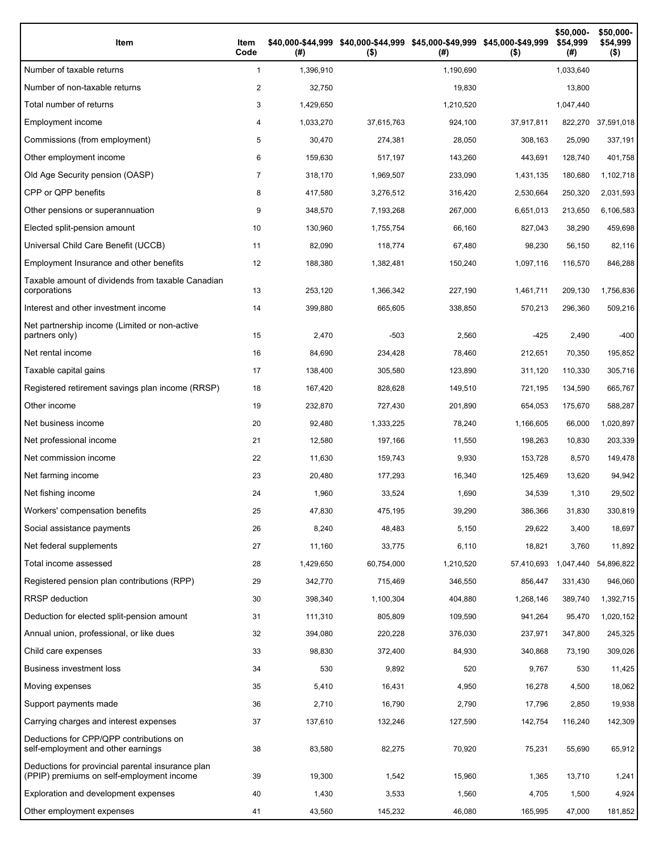| Item                                                                                           | Item<br>Code | (# )      | \$40,000-\$44,999 \$40,000-\$44,999 \$45,000-\$49,999 \$45,000-\$49,999<br>$($ \$) | (#)       | $($ \$)    | \$50,000-<br>\$54,999<br>(# ) | \$50,000-<br>\$54,999<br>$($ \$) |
|------------------------------------------------------------------------------------------------|--------------|-----------|------------------------------------------------------------------------------------|-----------|------------|-------------------------------|----------------------------------|
| Number of taxable returns                                                                      | $\mathbf{1}$ | 1,396,910 |                                                                                    | 1,190,690 |            | 1,033,640                     |                                  |
| Number of non-taxable returns                                                                  | 2            | 32.750    |                                                                                    | 19,830    |            | 13,800                        |                                  |
| Total number of returns                                                                        | 3            | 1,429,650 |                                                                                    | 1,210,520 |            | 1,047,440                     |                                  |
| Employment income                                                                              | 4            | 1,033,270 | 37,615,763                                                                         | 924,100   | 37,917,811 |                               | 822,270 37,591,018               |
| Commissions (from employment)                                                                  | 5            | 30,470    | 274,381                                                                            | 28,050    | 308,163    | 25,090                        | 337,191                          |
| Other employment income                                                                        | 6            | 159,630   | 517,197                                                                            | 143,260   | 443,691    | 128,740                       | 401,758                          |
| Old Age Security pension (OASP)                                                                | 7            | 318,170   | 1,969,507                                                                          | 233,090   | 1,431,135  | 180,680                       | 1,102,718                        |
| CPP or QPP benefits                                                                            | 8            | 417,580   | 3,276,512                                                                          | 316,420   | 2,530,664  | 250,320                       | 2,031,593                        |
| Other pensions or superannuation                                                               | 9            | 348,570   | 7,193,268                                                                          | 267,000   | 6,651,013  | 213,650                       | 6,106,583                        |
| Elected split-pension amount                                                                   | 10           | 130,960   | 1,755,754                                                                          | 66,160    | 827,043    | 38,290                        | 459,698                          |
| Universal Child Care Benefit (UCCB)                                                            | 11           | 82,090    | 118,774                                                                            | 67,480    | 98,230     | 56,150                        | 82,116                           |
| Employment Insurance and other benefits                                                        | 12           | 188,380   | 1,382,481                                                                          | 150,240   | 1,097,116  | 116,570                       | 846,288                          |
| Taxable amount of dividends from taxable Canadian<br>corporations                              | 13           | 253,120   | 1,366,342                                                                          | 227,190   | 1,461,711  | 209,130                       | 1,756,836                        |
| Interest and other investment income                                                           | 14           | 399,880   | 665,605                                                                            | 338,850   | 570,213    | 296,360                       | 509,216                          |
| Net partnership income (Limited or non-active<br>partners only)                                | 15           | 2,470     | $-503$                                                                             | 2,560     | $-425$     | 2,490                         | $-400$                           |
| Net rental income                                                                              | 16           | 84,690    | 234,428                                                                            | 78,460    | 212,651    | 70,350                        | 195,852                          |
| Taxable capital gains                                                                          | 17           | 138,400   | 305,580                                                                            | 123,890   | 311,120    | 110,330                       | 305,716                          |
| Registered retirement savings plan income (RRSP)                                               | 18           | 167,420   | 828,628                                                                            | 149,510   | 721,195    | 134,590                       | 665,767                          |
| Other income                                                                                   | 19           | 232,870   | 727,430                                                                            | 201,890   | 654,053    | 175,670                       | 588,287                          |
| Net business income                                                                            | 20           | 92,480    | 1,333,225                                                                          | 78,240    | 1,166,605  | 66,000                        | 1,020,897                        |
| Net professional income                                                                        | 21           | 12,580    | 197,166                                                                            | 11,550    | 198,263    | 10,830                        | 203,339                          |
| Net commission income                                                                          | 22           | 11,630    | 159,743                                                                            | 9,930     | 153,728    | 8,570                         | 149,478                          |
| Net farming income                                                                             | 23           | 20,480    | 177,293                                                                            | 16,340    | 125,469    | 13,620                        | 94,942                           |
| Net fishing income                                                                             | 24           | 1,960     | 33,524                                                                             | 1,690     | 34,539     | 1,310                         | 29,502                           |
| Workers' compensation benefits                                                                 | 25           | 47,830    | 475,195                                                                            | 39,290    | 386,366    | 31,830                        | 330,819                          |
| Social assistance payments                                                                     | 26           | 8,240     | 48,483                                                                             | 5,150     | 29,622     | 3,400                         | 18,697                           |
| Net federal supplements                                                                        | 27           | 11,160    | 33,775                                                                             | 6,110     | 18,821     | 3,760                         | 11,892                           |
| Total income assessed                                                                          | 28           | 1,429,650 | 60,754,000                                                                         | 1,210,520 | 57,410,693 | 1,047,440                     | 54,896,822                       |
| Registered pension plan contributions (RPP)                                                    | 29           | 342,770   | 715,469                                                                            | 346,550   | 856,447    | 331,430                       | 946,060                          |
| RRSP deduction                                                                                 | 30           | 398,340   | 1,100,304                                                                          | 404,880   | 1,268,146  | 389,740                       | 1,392,715                        |
| Deduction for elected split-pension amount                                                     | 31           | 111,310   | 805,809                                                                            | 109,590   | 941,264    | 95,470                        | 1,020,152                        |
| Annual union, professional, or like dues                                                       | 32           | 394,080   | 220,228                                                                            | 376,030   | 237,971    | 347,800                       | 245,325                          |
| Child care expenses                                                                            | 33           | 98,830    | 372,400                                                                            | 84,930    | 340,868    | 73,190                        | 309,026                          |
| <b>Business investment loss</b>                                                                | 34           | 530       | 9,892                                                                              | 520       | 9,767      | 530                           | 11,425                           |
| Moving expenses                                                                                | 35           | 5,410     | 16,431                                                                             | 4,950     | 16,278     | 4,500                         | 18,062                           |
| Support payments made                                                                          | 36           | 2,710     | 16,790                                                                             | 2,790     | 17,796     | 2,850                         | 19,938                           |
| Carrying charges and interest expenses                                                         | 37           | 137,610   | 132,246                                                                            | 127,590   | 142,754    | 116,240                       | 142,309                          |
| Deductions for CPP/QPP contributions on<br>self-employment and other earnings                  | 38           | 83,580    | 82,275                                                                             | 70,920    | 75,231     | 55,690                        | 65,912                           |
| Deductions for provincial parental insurance plan<br>(PPIP) premiums on self-employment income | 39           | 19,300    | 1,542                                                                              | 15,960    | 1,365      | 13,710                        | 1,241                            |
| Exploration and development expenses                                                           | 40           | 1,430     | 3,533                                                                              | 1,560     | 4,705      | 1,500                         | 4,924                            |
| Other employment expenses                                                                      | 41           | 43,560    | 145,232                                                                            | 46,080    | 165,995    | 47,000                        | 181,852                          |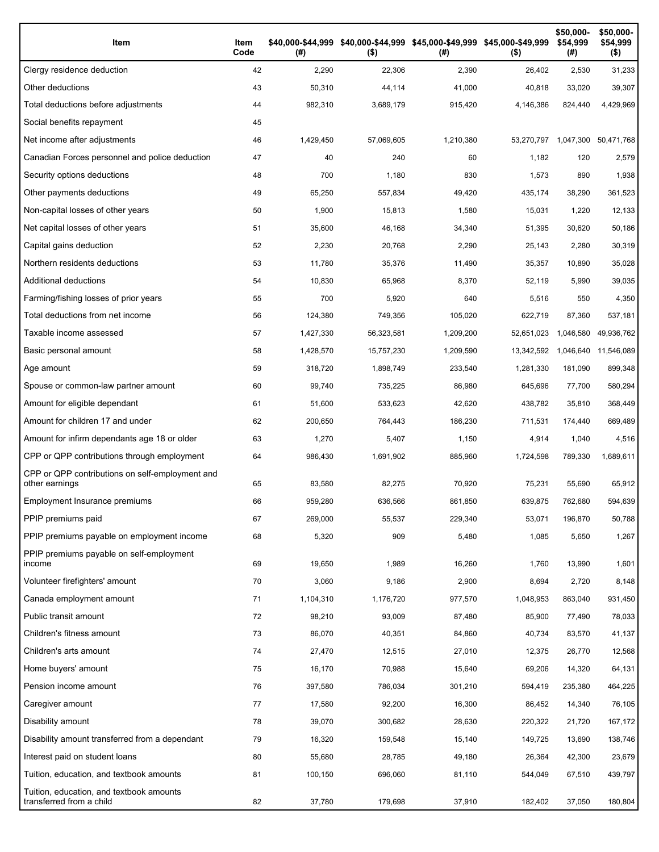| Item                                                                 | Item<br>Code | (# )      | \$40,000-\$44,999 \$40,000-\$44,999 \$45,000-\$49,999 \$45,000-\$49,999<br>$($ \$) | (# )      | $($ \$)    | \$50,000-<br>\$54,999<br>(#) | \$50,000-<br>\$54,999<br>(\$) |
|----------------------------------------------------------------------|--------------|-----------|------------------------------------------------------------------------------------|-----------|------------|------------------------------|-------------------------------|
| Clergy residence deduction                                           | 42           | 2,290     | 22,306                                                                             | 2,390     | 26,402     | 2,530                        | 31,233                        |
| Other deductions                                                     | 43           | 50,310    | 44,114                                                                             | 41,000    | 40,818     | 33,020                       | 39,307                        |
| Total deductions before adjustments                                  | 44           | 982,310   | 3,689,179                                                                          | 915,420   | 4,146,386  | 824,440                      | 4,429,969                     |
| Social benefits repayment                                            | 45           |           |                                                                                    |           |            |                              |                               |
| Net income after adjustments                                         | 46           | 1,429,450 | 57,069,605                                                                         | 1,210,380 |            | 53,270,797 1,047,300         | 50,471,768                    |
| Canadian Forces personnel and police deduction                       | 47           | 40        | 240                                                                                | 60        | 1,182      | 120                          | 2,579                         |
| Security options deductions                                          | 48           | 700       | 1,180                                                                              | 830       | 1,573      | 890                          | 1,938                         |
| Other payments deductions                                            | 49           | 65,250    | 557,834                                                                            | 49,420    | 435,174    | 38,290                       | 361,523                       |
| Non-capital losses of other years                                    | 50           | 1,900     | 15,813                                                                             | 1,580     | 15,031     | 1,220                        | 12,133                        |
| Net capital losses of other years                                    | 51           | 35,600    | 46,168                                                                             | 34,340    | 51,395     | 30,620                       | 50,186                        |
| Capital gains deduction                                              | 52           | 2,230     | 20,768                                                                             | 2,290     | 25,143     | 2,280                        | 30,319                        |
| Northern residents deductions                                        | 53           | 11,780    | 35,376                                                                             | 11,490    | 35,357     | 10,890                       | 35,028                        |
| Additional deductions                                                | 54           | 10,830    | 65,968                                                                             | 8,370     | 52,119     | 5,990                        | 39,035                        |
| Farming/fishing losses of prior years                                | 55           | 700       | 5,920                                                                              | 640       | 5,516      | 550                          | 4,350                         |
| Total deductions from net income                                     | 56           | 124,380   | 749,356                                                                            | 105,020   | 622,719    | 87,360                       | 537,181                       |
| Taxable income assessed                                              | 57           | 1,427,330 | 56,323,581                                                                         | 1,209,200 | 52,651,023 | 1,046,580                    | 49,936,762                    |
| Basic personal amount                                                | 58           | 1,428,570 | 15,757,230                                                                         | 1,209,590 | 13,342,592 | 1,046,640                    | 11,546,089                    |
| Age amount                                                           | 59           | 318,720   | 1,898,749                                                                          | 233,540   | 1,281,330  | 181,090                      | 899,348                       |
| Spouse or common-law partner amount                                  | 60           | 99,740    | 735,225                                                                            | 86,980    | 645,696    | 77,700                       | 580,294                       |
| Amount for eligible dependant                                        | 61           | 51,600    | 533,623                                                                            | 42,620    | 438,782    | 35,810                       | 368,449                       |
| Amount for children 17 and under                                     | 62           | 200,650   | 764,443                                                                            | 186,230   | 711,531    | 174,440                      | 669,489                       |
| Amount for infirm dependants age 18 or older                         | 63           | 1,270     | 5,407                                                                              | 1,150     | 4,914      | 1,040                        | 4,516                         |
| CPP or QPP contributions through employment                          | 64           | 986,430   | 1,691,902                                                                          | 885,960   | 1,724,598  | 789,330                      | 1,689,611                     |
| CPP or QPP contributions on self-employment and<br>other earnings    | 65           | 83,580    | 82,275                                                                             | 70,920    | 75,231     | 55,690                       | 65,912                        |
| Employment Insurance premiums                                        | 66           | 959,280   | 636,566                                                                            | 861,850   | 639,875    | 762,680                      | 594,639                       |
| PPIP premiums paid                                                   | 67           | 269.000   | 55,537                                                                             | 229,340   | 53,071     | 196,870                      | 50,788                        |
| PPIP premiums payable on employment income                           | 68           | 5,320     | 909                                                                                | 5,480     | 1,085      | 5,650                        | 1,267                         |
| PPIP premiums payable on self-employment<br>income                   | 69           | 19,650    | 1,989                                                                              | 16,260    | 1,760      | 13,990                       | 1,601                         |
| Volunteer firefighters' amount                                       | 70           | 3,060     | 9,186                                                                              | 2,900     | 8,694      | 2,720                        | 8,148                         |
| Canada employment amount                                             | 71           | 1,104,310 | 1,176,720                                                                          | 977,570   | 1,048,953  | 863,040                      | 931,450                       |
| Public transit amount                                                | 72           | 98,210    | 93,009                                                                             | 87,480    | 85,900     | 77,490                       | 78,033                        |
| Children's fitness amount                                            | 73           | 86,070    | 40,351                                                                             | 84,860    | 40,734     | 83,570                       | 41,137                        |
| Children's arts amount                                               | 74           | 27,470    | 12,515                                                                             | 27,010    | 12,375     | 26,770                       | 12,568                        |
| Home buyers' amount                                                  | 75           | 16,170    | 70,988                                                                             | 15,640    | 69,206     | 14,320                       | 64,131                        |
| Pension income amount                                                | 76           | 397,580   | 786,034                                                                            | 301,210   | 594,419    | 235,380                      | 464,225                       |
| Caregiver amount                                                     | 77           | 17,580    | 92,200                                                                             | 16,300    | 86,452     | 14,340                       | 76,105                        |
| Disability amount                                                    | 78           | 39,070    | 300,682                                                                            | 28,630    | 220,322    | 21,720                       | 167,172                       |
| Disability amount transferred from a dependant                       | 79           | 16,320    | 159,548                                                                            | 15,140    | 149,725    | 13,690                       | 138,746                       |
| Interest paid on student loans                                       | 80           | 55,680    | 28,785                                                                             | 49,180    | 26,364     | 42,300                       | 23,679                        |
| Tuition, education, and textbook amounts                             | 81           | 100,150   | 696,060                                                                            | 81,110    | 544,049    | 67,510                       | 439,797                       |
| Tuition, education, and textbook amounts<br>transferred from a child | 82           | 37,780    | 179,698                                                                            | 37,910    | 182,402    | 37,050                       | 180,804                       |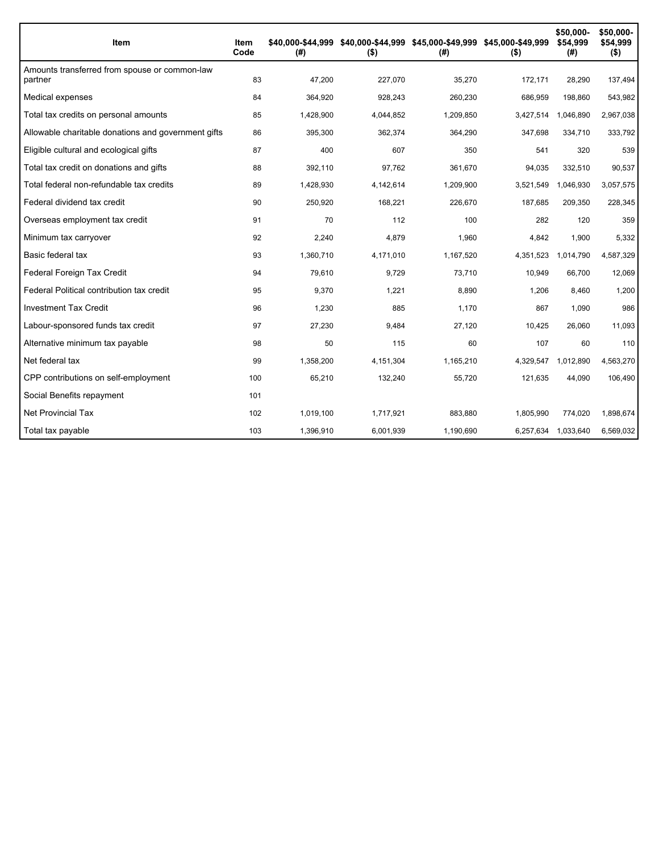| Item                                                     | Item<br>Code | (# )      | \$40,000-\$44,999 \$40,000-\$44,999 \$45,000-\$49,999 \$45,000-\$49,999<br>$($ \$) | (# )      | $($ \$)   | \$50,000-<br>\$54,999<br>(#) | \$50,000-<br>\$54,999<br>$($ \$) |
|----------------------------------------------------------|--------------|-----------|------------------------------------------------------------------------------------|-----------|-----------|------------------------------|----------------------------------|
| Amounts transferred from spouse or common-law<br>partner | 83           | 47,200    | 227,070                                                                            | 35,270    | 172,171   | 28,290                       | 137,494                          |
| Medical expenses                                         | 84           | 364,920   | 928,243                                                                            | 260,230   | 686,959   | 198,860                      | 543,982                          |
| Total tax credits on personal amounts                    | 85           | 1,428,900 | 4,044,852                                                                          | 1,209,850 | 3,427,514 | 1,046,890                    | 2,967,038                        |
| Allowable charitable donations and government gifts      | 86           | 395,300   | 362,374                                                                            | 364,290   | 347.698   | 334,710                      | 333,792                          |
| Eligible cultural and ecological gifts                   | 87           | 400       | 607                                                                                | 350       | 541       | 320                          | 539                              |
| Total tax credit on donations and gifts                  | 88           | 392,110   | 97,762                                                                             | 361,670   | 94,035    | 332,510                      | 90,537                           |
| Total federal non-refundable tax credits                 | 89           | 1,428,930 | 4,142,614                                                                          | 1,209,900 | 3,521,549 | 1,046,930                    | 3,057,575                        |
| Federal dividend tax credit                              | 90           | 250,920   | 168,221                                                                            | 226,670   | 187,685   | 209,350                      | 228,345                          |
| Overseas employment tax credit                           | 91           | 70        | 112                                                                                | 100       | 282       | 120                          | 359                              |
| Minimum tax carryover                                    | 92           | 2,240     | 4,879                                                                              | 1,960     | 4,842     | 1,900                        | 5,332                            |
| Basic federal tax                                        | 93           | 1,360,710 | 4,171,010                                                                          | 1,167,520 | 4,351,523 | 1,014,790                    | 4,587,329                        |
| Federal Foreign Tax Credit                               | 94           | 79,610    | 9,729                                                                              | 73.710    | 10,949    | 66,700                       | 12,069                           |
| Federal Political contribution tax credit                | 95           | 9,370     | 1,221                                                                              | 8,890     | 1,206     | 8,460                        | 1,200                            |
| <b>Investment Tax Credit</b>                             | 96           | 1,230     | 885                                                                                | 1,170     | 867       | 1,090                        | 986                              |
| Labour-sponsored funds tax credit                        | 97           | 27,230    | 9,484                                                                              | 27,120    | 10,425    | 26,060                       | 11,093                           |
| Alternative minimum tax payable                          | 98           | 50        | 115                                                                                | 60        | 107       | 60                           | 110                              |
| Net federal tax                                          | 99           | 1,358,200 | 4,151,304                                                                          | 1,165,210 | 4,329,547 | 1,012,890                    | 4,563,270                        |
| CPP contributions on self-employment                     | 100          | 65,210    | 132,240                                                                            | 55,720    | 121,635   | 44,090                       | 106,490                          |
| Social Benefits repayment                                | 101          |           |                                                                                    |           |           |                              |                                  |
| <b>Net Provincial Tax</b>                                | 102          | 1,019,100 | 1.717.921                                                                          | 883,880   | 1,805,990 | 774.020                      | 1,898,674                        |
| Total tax payable                                        | 103          | 1,396,910 | 6,001,939                                                                          | 1,190,690 |           | 6,257,634 1,033,640          | 6,569,032                        |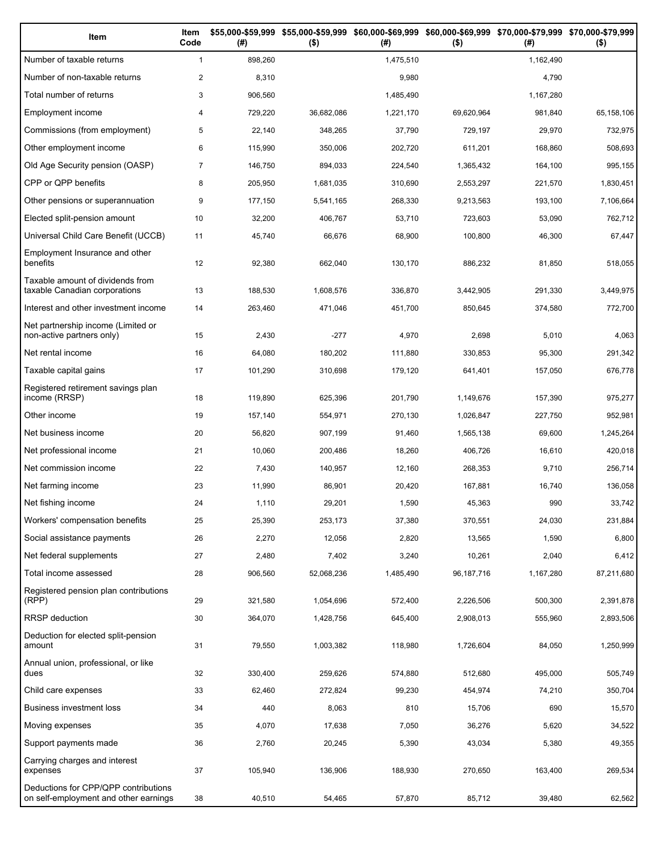| Item                                                                          | Item<br>Code   | (#)     | \$55,000-\$59,999 \$55,000-\$59,999 \$60,000-\$69,999 \$60,000-\$69,999 \$70,000-\$79,999 \$70,000-\$79,999<br>$($ \$) | (#)       | $($ \$)    | (#)       | $($ \$)    |
|-------------------------------------------------------------------------------|----------------|---------|------------------------------------------------------------------------------------------------------------------------|-----------|------------|-----------|------------|
| Number of taxable returns                                                     | $\mathbf{1}$   | 898,260 |                                                                                                                        | 1,475,510 |            | 1,162,490 |            |
| Number of non-taxable returns                                                 | $\overline{c}$ | 8,310   |                                                                                                                        | 9,980     |            | 4,790     |            |
| Total number of returns                                                       | 3              | 906,560 |                                                                                                                        | 1,485,490 |            | 1,167,280 |            |
| Employment income                                                             | 4              | 729,220 | 36,682,086                                                                                                             | 1,221,170 | 69,620,964 | 981,840   | 65,158,106 |
| Commissions (from employment)                                                 | 5              | 22,140  | 348,265                                                                                                                | 37,790    | 729,197    | 29,970    | 732,975    |
| Other employment income                                                       | 6              | 115,990 | 350,006                                                                                                                | 202,720   | 611,201    | 168,860   | 508,693    |
| Old Age Security pension (OASP)                                               | $\overline{7}$ | 146,750 | 894,033                                                                                                                | 224,540   | 1,365,432  | 164,100   | 995,155    |
| CPP or QPP benefits                                                           | 8              | 205,950 | 1,681,035                                                                                                              | 310,690   | 2,553,297  | 221,570   | 1,830,451  |
| Other pensions or superannuation                                              | 9              | 177,150 | 5,541,165                                                                                                              | 268,330   | 9,213,563  | 193,100   | 7,106,664  |
| Elected split-pension amount                                                  | 10             | 32,200  | 406,767                                                                                                                | 53,710    | 723,603    | 53,090    | 762,712    |
| Universal Child Care Benefit (UCCB)                                           | 11             | 45,740  | 66,676                                                                                                                 | 68,900    | 100,800    | 46,300    | 67,447     |
| Employment Insurance and other<br>benefits                                    | 12             | 92,380  | 662,040                                                                                                                | 130,170   | 886,232    | 81,850    | 518,055    |
| Taxable amount of dividends from<br>taxable Canadian corporations             | 13             | 188,530 | 1,608,576                                                                                                              | 336,870   | 3,442,905  | 291,330   | 3,449,975  |
| Interest and other investment income                                          | 14             | 263,460 | 471,046                                                                                                                | 451,700   | 850,645    | 374,580   | 772,700    |
| Net partnership income (Limited or<br>non-active partners only)               | 15             | 2,430   | $-277$                                                                                                                 | 4,970     | 2,698      | 5,010     | 4,063      |
| Net rental income                                                             | 16             | 64,080  | 180,202                                                                                                                | 111,880   | 330,853    | 95,300    | 291,342    |
| Taxable capital gains                                                         | 17             | 101,290 | 310,698                                                                                                                | 179,120   | 641,401    | 157,050   | 676,778    |
| Registered retirement savings plan<br>income (RRSP)                           | 18             | 119,890 | 625,396                                                                                                                | 201,790   | 1,149,676  | 157,390   | 975,277    |
| Other income                                                                  | 19             | 157,140 | 554,971                                                                                                                | 270,130   | 1,026,847  | 227,750   | 952,981    |
| Net business income                                                           | 20             | 56,820  | 907,199                                                                                                                | 91,460    | 1,565,138  | 69,600    | 1,245,264  |
| Net professional income                                                       | 21             | 10,060  | 200,486                                                                                                                | 18,260    | 406,726    | 16,610    | 420,018    |
| Net commission income                                                         | 22             | 7,430   | 140,957                                                                                                                | 12,160    | 268,353    | 9,710     | 256,714    |
| Net farming income                                                            | 23             | 11,990  | 86,901                                                                                                                 | 20,420    | 167,881    | 16,740    | 136,058    |
| Net fishing income                                                            | 24             | 1,110   | 29,201                                                                                                                 | 1,590     | 45,363     | 990       | 33,742     |
| Workers' compensation benefits                                                | 25             | 25,390  | 253,173                                                                                                                | 37,380    | 370,551    | 24,030    | 231,884    |
| Social assistance payments                                                    | 26             | 2,270   | 12,056                                                                                                                 | 2,820     | 13,565     | 1,590     | 6,800      |
| Net federal supplements                                                       | 27             | 2,480   | 7,402                                                                                                                  | 3,240     | 10,261     | 2,040     | 6,412      |
| Total income assessed                                                         | 28             | 906,560 | 52,068,236                                                                                                             | 1,485,490 | 96,187,716 | 1,167,280 | 87,211,680 |
| Registered pension plan contributions<br>(RPP)                                | 29             | 321,580 | 1,054,696                                                                                                              | 572,400   | 2,226,506  | 500,300   | 2,391,878  |
| RRSP deduction                                                                | 30             | 364,070 | 1,428,756                                                                                                              | 645,400   | 2,908,013  | 555,960   | 2,893,506  |
| Deduction for elected split-pension<br>amount                                 | 31             | 79,550  | 1,003,382                                                                                                              | 118,980   | 1,726,604  | 84,050    | 1,250,999  |
| Annual union, professional, or like<br>dues                                   | 32             | 330,400 | 259,626                                                                                                                | 574,880   | 512,680    | 495,000   | 505,749    |
| Child care expenses                                                           | 33             | 62,460  | 272,824                                                                                                                | 99,230    | 454,974    | 74,210    | 350,704    |
| Business investment loss                                                      | 34             | 440     | 8,063                                                                                                                  | 810       | 15,706     | 690       | 15,570     |
| Moving expenses                                                               | 35             | 4,070   | 17,638                                                                                                                 | 7,050     | 36,276     | 5,620     | 34,522     |
| Support payments made                                                         | 36             | 2,760   | 20,245                                                                                                                 | 5,390     | 43,034     | 5,380     | 49,355     |
| Carrying charges and interest<br>expenses                                     | 37             | 105,940 | 136,906                                                                                                                | 188,930   | 270,650    | 163,400   | 269,534    |
| Deductions for CPP/QPP contributions<br>on self-employment and other earnings | 38             | 40,510  | 54,465                                                                                                                 | 57,870    | 85,712     | 39,480    | 62,562     |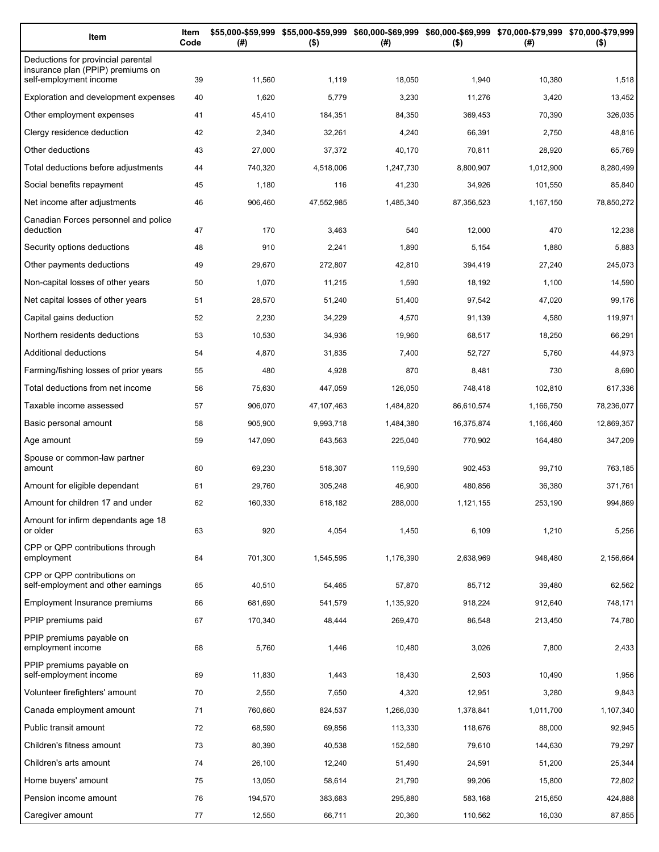| Item                                                                                              | Item<br>Code | (#)     | $($ \$)    | \$55,000-\$59,999 \$55,000-\$59,999 \$60,000-\$69,999 \$60,000-\$69,999 \$70,000-\$79,999 \$70,000-\$79,999<br>(#) | $($ \$)    | (# )      | $($ \$)    |
|---------------------------------------------------------------------------------------------------|--------------|---------|------------|--------------------------------------------------------------------------------------------------------------------|------------|-----------|------------|
| Deductions for provincial parental<br>insurance plan (PPIP) premiums on<br>self-employment income | 39           | 11,560  | 1,119      | 18,050                                                                                                             | 1,940      | 10,380    | 1,518      |
| Exploration and development expenses                                                              | 40           | 1,620   | 5,779      | 3,230                                                                                                              | 11,276     | 3,420     | 13,452     |
| Other employment expenses                                                                         | 41           | 45,410  | 184,351    | 84,350                                                                                                             | 369,453    | 70,390    | 326,035    |
| Clergy residence deduction                                                                        | 42           | 2,340   | 32,261     | 4,240                                                                                                              | 66,391     | 2,750     | 48,816     |
| Other deductions                                                                                  | 43           | 27,000  | 37,372     | 40,170                                                                                                             | 70,811     | 28,920    | 65,769     |
| Total deductions before adjustments                                                               | 44           | 740,320 | 4,518,006  | 1,247,730                                                                                                          | 8,800,907  | 1,012,900 | 8,280,499  |
| Social benefits repayment                                                                         | 45           | 1,180   | 116        | 41,230                                                                                                             | 34,926     | 101,550   | 85,840     |
| Net income after adjustments                                                                      | 46           | 906,460 | 47,552,985 | 1,485,340                                                                                                          | 87,356,523 | 1,167,150 | 78,850,272 |
| Canadian Forces personnel and police                                                              |              |         |            |                                                                                                                    |            |           |            |
| deduction                                                                                         | 47           | 170     | 3,463      | 540                                                                                                                | 12,000     | 470       | 12,238     |
| Security options deductions                                                                       | 48           | 910     | 2,241      | 1,890                                                                                                              | 5,154      | 1,880     | 5,883      |
| Other payments deductions                                                                         | 49           | 29,670  | 272,807    | 42,810                                                                                                             | 394,419    | 27,240    | 245,073    |
| Non-capital losses of other years                                                                 | 50           | 1,070   | 11,215     | 1,590                                                                                                              | 18,192     | 1,100     | 14,590     |
| Net capital losses of other years                                                                 | 51           | 28,570  | 51,240     | 51,400                                                                                                             | 97,542     | 47,020    | 99,176     |
| Capital gains deduction                                                                           | 52           | 2,230   | 34,229     | 4,570                                                                                                              | 91,139     | 4,580     | 119,971    |
| Northern residents deductions                                                                     | 53           | 10,530  | 34,936     | 19,960                                                                                                             | 68,517     | 18,250    | 66,291     |
| Additional deductions                                                                             | 54           | 4,870   | 31,835     | 7,400                                                                                                              | 52,727     | 5,760     | 44,973     |
| Farming/fishing losses of prior years                                                             | 55           | 480     | 4,928      | 870                                                                                                                | 8,481      | 730       | 8,690      |
| Total deductions from net income                                                                  | 56           | 75,630  | 447,059    | 126,050                                                                                                            | 748,418    | 102,810   | 617,336    |
| Taxable income assessed                                                                           | 57           | 906,070 | 47,107,463 | 1,484,820                                                                                                          | 86,610,574 | 1,166,750 | 78,236,077 |
| Basic personal amount                                                                             | 58           | 905,900 | 9,993,718  | 1,484,380                                                                                                          | 16,375,874 | 1,166,460 | 12,869,357 |
| Age amount                                                                                        | 59           | 147,090 | 643,563    | 225,040                                                                                                            | 770,902    | 164,480   | 347,209    |
| Spouse or common-law partner<br>amount                                                            | 60           | 69,230  | 518,307    | 119,590                                                                                                            | 902,453    | 99,710    | 763,185    |
| Amount for eligible dependant                                                                     | 61           | 29,760  | 305,248    | 46,900                                                                                                             | 480,856    | 36,380    | 371,761    |
| Amount for children 17 and under                                                                  | 62           | 160,330 | 618,182    | 288,000                                                                                                            | 1,121,155  | 253,190   | 994,869    |
| Amount for infirm dependants age 18                                                               |              |         |            |                                                                                                                    |            |           |            |
| or older                                                                                          | 63           | 920     | 4,054      | 1,450                                                                                                              | 6,109      | 1,210     | 5,256      |
| CPP or QPP contributions through<br>employment                                                    | 64           | 701,300 | 1,545,595  | 1,176,390                                                                                                          | 2,638,969  | 948,480   | 2,156,664  |
| CPP or QPP contributions on<br>self-employment and other earnings                                 | 65           | 40,510  | 54,465     | 57,870                                                                                                             | 85,712     | 39,480    | 62,562     |
| Employment Insurance premiums                                                                     | 66           | 681,690 | 541,579    | 1,135,920                                                                                                          | 918,224    | 912,640   | 748,171    |
| PPIP premiums paid                                                                                | 67           | 170,340 | 48,444     | 269,470                                                                                                            | 86,548     | 213,450   | 74,780     |
| PPIP premiums payable on<br>employment income                                                     | 68           | 5,760   | 1,446      | 10,480                                                                                                             | 3,026      | 7,800     | 2,433      |
| PPIP premiums payable on<br>self-employment income                                                | 69           | 11,830  | 1,443      | 18,430                                                                                                             | 2,503      | 10,490    | 1,956      |
| Volunteer firefighters' amount                                                                    | 70           | 2,550   | 7,650      | 4,320                                                                                                              | 12,951     | 3,280     | 9,843      |
| Canada employment amount                                                                          | 71           | 760,660 | 824,537    | 1,266,030                                                                                                          | 1,378,841  | 1,011,700 | 1,107,340  |
| Public transit amount                                                                             | 72           | 68,590  | 69,856     | 113,330                                                                                                            | 118,676    | 88,000    | 92,945     |
| Children's fitness amount                                                                         | 73           | 80,390  | 40,538     | 152,580                                                                                                            | 79,610     | 144,630   | 79,297     |
| Children's arts amount                                                                            | 74           | 26,100  | 12,240     | 51,490                                                                                                             | 24,591     | 51,200    | 25,344     |
| Home buyers' amount                                                                               | 75           | 13,050  | 58,614     | 21,790                                                                                                             | 99,206     | 15,800    | 72,802     |
| Pension income amount                                                                             | 76           | 194,570 | 383,683    | 295,880                                                                                                            | 583,168    | 215,650   | 424,888    |
| Caregiver amount                                                                                  | 77           | 12,550  | 66,711     | 20,360                                                                                                             | 110,562    | 16,030    | 87,855     |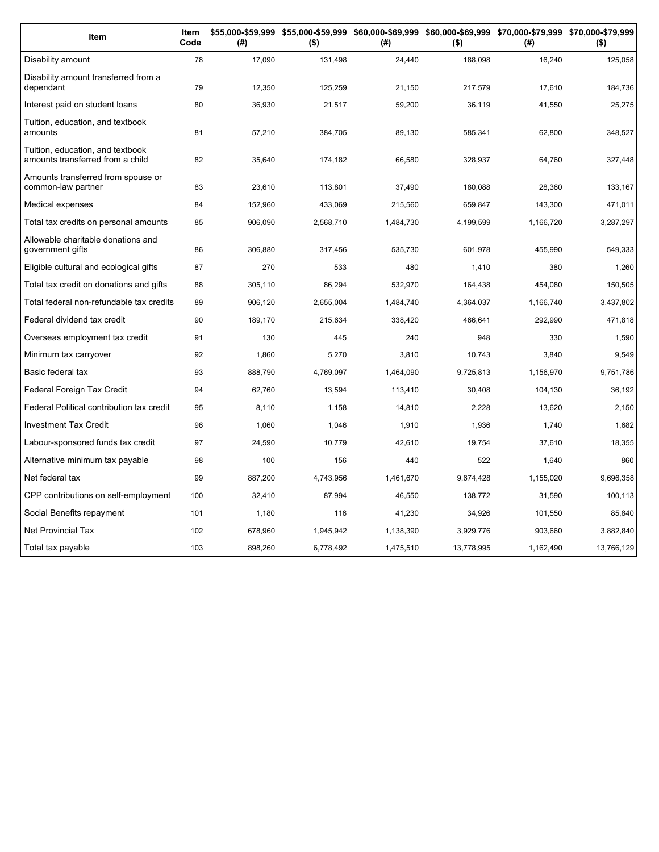| Item                                                                 | Item<br>Code | (#)     | $($ \$)   | (#)       | $($ \$)    | \$55,000-\$59,999 \$55,000-\$59,999 \$60,000-\$69,999 \$60,000-\$69,999 \$70,000-\$79,999 \$70,000-\$79,999<br>(# ) | $($ \$)    |
|----------------------------------------------------------------------|--------------|---------|-----------|-----------|------------|---------------------------------------------------------------------------------------------------------------------|------------|
| Disability amount                                                    | 78           | 17,090  | 131,498   | 24,440    | 188,098    | 16,240                                                                                                              | 125,058    |
| Disability amount transferred from a<br>dependant                    | 79           | 12,350  | 125,259   | 21,150    | 217,579    | 17,610                                                                                                              | 184,736    |
| Interest paid on student loans                                       | 80           | 36,930  | 21,517    | 59,200    | 36,119     | 41,550                                                                                                              | 25,275     |
| Tuition, education, and textbook<br>amounts                          | 81           | 57,210  | 384,705   | 89,130    | 585,341    | 62,800                                                                                                              | 348,527    |
| Tuition, education, and textbook<br>amounts transferred from a child | 82           | 35,640  | 174,182   | 66,580    | 328,937    | 64,760                                                                                                              | 327,448    |
| Amounts transferred from spouse or<br>common-law partner             | 83           | 23,610  | 113,801   | 37,490    | 180,088    | 28,360                                                                                                              | 133,167    |
| Medical expenses                                                     | 84           | 152,960 | 433,069   | 215,560   | 659,847    | 143,300                                                                                                             | 471,011    |
| Total tax credits on personal amounts                                | 85           | 906,090 | 2,568,710 | 1,484,730 | 4,199,599  | 1,166,720                                                                                                           | 3,287,297  |
| Allowable charitable donations and<br>government gifts               | 86           | 306,880 | 317,456   | 535,730   | 601,978    | 455,990                                                                                                             | 549,333    |
| Eligible cultural and ecological gifts                               | 87           | 270     | 533       | 480       | 1,410      | 380                                                                                                                 | 1,260      |
| Total tax credit on donations and gifts                              | 88           | 305,110 | 86,294    | 532.970   | 164,438    | 454,080                                                                                                             | 150,505    |
| Total federal non-refundable tax credits                             | 89           | 906,120 | 2,655,004 | 1,484,740 | 4,364,037  | 1,166,740                                                                                                           | 3,437,802  |
| Federal dividend tax credit                                          | 90           | 189,170 | 215,634   | 338,420   | 466,641    | 292,990                                                                                                             | 471,818    |
| Overseas employment tax credit                                       | 91           | 130     | 445       | 240       | 948        | 330                                                                                                                 | 1,590      |
| Minimum tax carryover                                                | 92           | 1,860   | 5,270     | 3,810     | 10,743     | 3,840                                                                                                               | 9,549      |
| Basic federal tax                                                    | 93           | 888,790 | 4,769,097 | 1,464,090 | 9,725,813  | 1,156,970                                                                                                           | 9,751,786  |
| Federal Foreign Tax Credit                                           | 94           | 62,760  | 13,594    | 113,410   | 30,408     | 104,130                                                                                                             | 36,192     |
| Federal Political contribution tax credit                            | 95           | 8,110   | 1,158     | 14,810    | 2,228      | 13,620                                                                                                              | 2,150      |
| <b>Investment Tax Credit</b>                                         | 96           | 1,060   | 1,046     | 1,910     | 1,936      | 1,740                                                                                                               | 1,682      |
| Labour-sponsored funds tax credit                                    | 97           | 24,590  | 10,779    | 42,610    | 19,754     | 37,610                                                                                                              | 18,355     |
| Alternative minimum tax payable                                      | 98           | 100     | 156       | 440       | 522        | 1,640                                                                                                               | 860        |
| Net federal tax                                                      | 99           | 887,200 | 4,743,956 | 1,461,670 | 9,674,428  | 1,155,020                                                                                                           | 9,696,358  |
| CPP contributions on self-employment                                 | 100          | 32,410  | 87,994    | 46,550    | 138,772    | 31,590                                                                                                              | 100,113    |
| Social Benefits repayment                                            | 101          | 1,180   | 116       | 41,230    | 34,926     | 101,550                                                                                                             | 85,840     |
| <b>Net Provincial Tax</b>                                            | 102          | 678,960 | 1,945,942 | 1,138,390 | 3,929,776  | 903,660                                                                                                             | 3,882,840  |
| Total tax payable                                                    | 103          | 898,260 | 6,778,492 | 1,475,510 | 13,778,995 | 1,162,490                                                                                                           | 13,766,129 |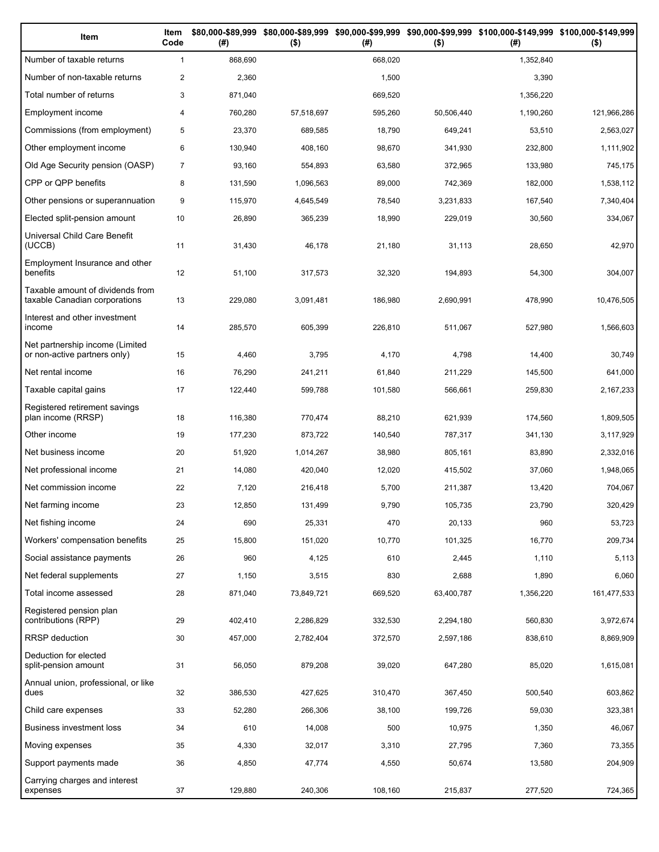| Item                                                              | Item<br>Code   | (# )    | $($ \$)    | (#)     | $($ \$)    | \$80,000-\$89,999 \$80,000-\$89,999 \$90,000-\$99,999 \$90,000-\$99,999 \$100,000-\$149,999 \$100,000-\$149,999<br>(#) | $($ \$)     |
|-------------------------------------------------------------------|----------------|---------|------------|---------|------------|------------------------------------------------------------------------------------------------------------------------|-------------|
| Number of taxable returns                                         | $\mathbf{1}$   | 868,690 |            | 668,020 |            | 1,352,840                                                                                                              |             |
| Number of non-taxable returns                                     | $\overline{2}$ | 2,360   |            | 1,500   |            | 3,390                                                                                                                  |             |
| Total number of returns                                           | 3              | 871,040 |            | 669,520 |            | 1,356,220                                                                                                              |             |
| Employment income                                                 | $\overline{4}$ | 760,280 | 57,518,697 | 595,260 | 50,506,440 | 1,190,260                                                                                                              | 121,966,286 |
| Commissions (from employment)                                     | 5              | 23,370  | 689,585    | 18,790  | 649,241    | 53,510                                                                                                                 | 2,563,027   |
| Other employment income                                           | 6              | 130,940 | 408,160    | 98,670  | 341,930    | 232,800                                                                                                                | 1,111,902   |
| Old Age Security pension (OASP)                                   | $\overline{7}$ | 93,160  | 554,893    | 63,580  | 372,965    | 133,980                                                                                                                | 745,175     |
| CPP or QPP benefits                                               | 8              | 131,590 | 1,096,563  | 89,000  | 742,369    | 182,000                                                                                                                | 1,538,112   |
| Other pensions or superannuation                                  | 9              | 115,970 | 4,645,549  | 78,540  | 3,231,833  | 167,540                                                                                                                | 7,340,404   |
| Elected split-pension amount                                      | 10             | 26,890  | 365,239    | 18,990  | 229,019    | 30,560                                                                                                                 | 334,067     |
| Universal Child Care Benefit<br>(UCCB)                            | 11             | 31,430  | 46,178     | 21,180  | 31,113     | 28,650                                                                                                                 | 42,970      |
| Employment Insurance and other<br>benefits                        | 12             | 51,100  | 317,573    | 32,320  | 194,893    | 54,300                                                                                                                 | 304,007     |
| Taxable amount of dividends from<br>taxable Canadian corporations | 13             | 229,080 | 3.091.481  | 186,980 | 2.690.991  | 478,990                                                                                                                | 10,476,505  |
| Interest and other investment<br>income                           | 14             | 285,570 | 605,399    | 226,810 | 511,067    | 527,980                                                                                                                | 1,566,603   |
| Net partnership income (Limited<br>or non-active partners only)   | 15             | 4,460   | 3,795      | 4,170   | 4,798      | 14,400                                                                                                                 | 30,749      |
| Net rental income                                                 | 16             | 76,290  | 241,211    | 61,840  | 211,229    | 145,500                                                                                                                | 641,000     |
| Taxable capital gains                                             | 17             | 122,440 | 599,788    | 101,580 | 566,661    | 259,830                                                                                                                | 2,167,233   |
| Registered retirement savings<br>plan income (RRSP)               | 18             | 116,380 | 770,474    | 88,210  | 621,939    | 174,560                                                                                                                | 1,809,505   |
| Other income                                                      | 19             | 177,230 | 873,722    | 140,540 | 787,317    | 341,130                                                                                                                | 3,117,929   |
| Net business income                                               | 20             | 51,920  | 1,014,267  | 38,980  | 805,161    | 83,890                                                                                                                 | 2,332,016   |
| Net professional income                                           | 21             | 14,080  | 420,040    | 12,020  | 415,502    | 37,060                                                                                                                 | 1,948,065   |
| Net commission income                                             | 22             | 7,120   | 216,418    | 5,700   | 211,387    | 13,420                                                                                                                 | 704,067     |
| Net farming income                                                | 23             | 12,850  | 131,499    | 9,790   | 105,735    | 23,790                                                                                                                 | 320,429     |
| Net fishing income                                                | 24             | 690     | 25,331     | 470     | 20,133     | 960                                                                                                                    | 53,723      |
| Workers' compensation benefits                                    | 25             | 15,800  | 151,020    | 10,770  | 101,325    | 16,770                                                                                                                 | 209,734     |
| Social assistance payments                                        | 26             | 960     | 4,125      | 610     | 2,445      | 1,110                                                                                                                  | 5,113       |
| Net federal supplements                                           | 27             | 1,150   | 3,515      | 830     | 2,688      | 1,890                                                                                                                  | 6,060       |
| Total income assessed                                             | 28             | 871,040 | 73,849,721 | 669,520 | 63,400,787 | 1,356,220                                                                                                              | 161,477,533 |
| Registered pension plan<br>contributions (RPP)                    | 29             | 402,410 | 2,286,829  | 332,530 | 2,294,180  | 560,830                                                                                                                | 3,972,674   |
| <b>RRSP</b> deduction                                             | 30             | 457,000 | 2,782,404  | 372,570 | 2,597,186  | 838,610                                                                                                                | 8,869,909   |
| Deduction for elected<br>split-pension amount                     | 31             | 56,050  | 879,208    | 39,020  | 647,280    | 85,020                                                                                                                 | 1,615,081   |
| Annual union, professional, or like<br>dues                       | 32             | 386,530 | 427,625    | 310,470 | 367,450    | 500,540                                                                                                                | 603,862     |
| Child care expenses                                               | 33             | 52,280  | 266,306    | 38,100  | 199,726    | 59,030                                                                                                                 | 323,381     |
| Business investment loss                                          | 34             | 610     | 14,008     | 500     | 10,975     | 1,350                                                                                                                  | 46,067      |
| Moving expenses                                                   | 35             | 4,330   | 32,017     | 3,310   | 27,795     | 7,360                                                                                                                  | 73,355      |
| Support payments made                                             | 36             | 4,850   | 47,774     | 4,550   | 50,674     | 13,580                                                                                                                 | 204,909     |
| Carrying charges and interest<br>expenses                         | 37             | 129,880 | 240,306    | 108,160 | 215,837    | 277,520                                                                                                                | 724,365     |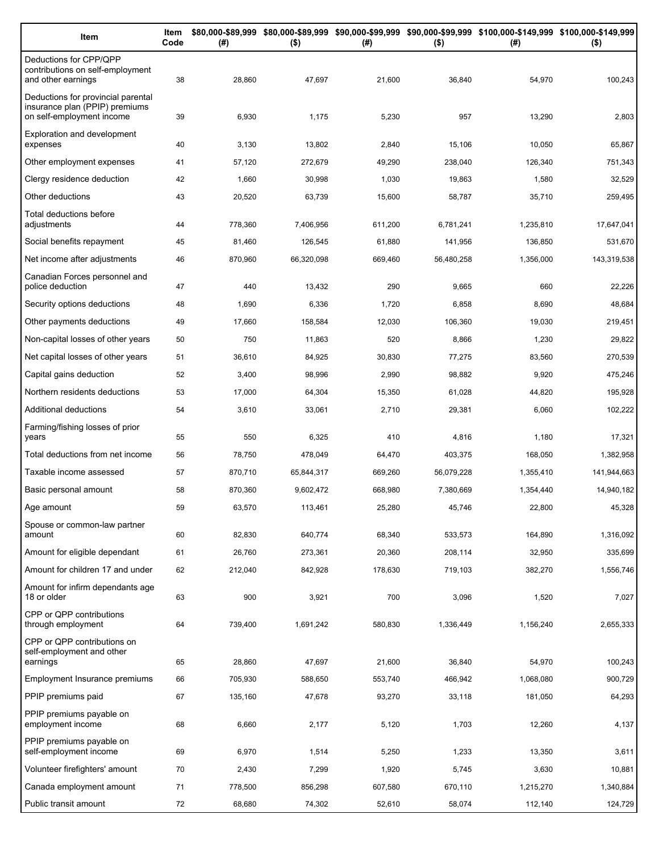| Item                                                                                              | Item<br>Code | (# )    | $($ \$)    | (#)     | $($ \$)    | \$80,000-\$89,999 \$80,000-\$89,999 \$90,000-\$99,999 \$90,000-\$99,999 \$100,000-\$149,999 \$100,000-\$149,999<br>(#) | $($ \$)     |
|---------------------------------------------------------------------------------------------------|--------------|---------|------------|---------|------------|------------------------------------------------------------------------------------------------------------------------|-------------|
| Deductions for CPP/QPP<br>contributions on self-employment<br>and other earnings                  | 38           | 28,860  | 47,697     | 21,600  | 36,840     | 54,970                                                                                                                 | 100,243     |
| Deductions for provincial parental<br>insurance plan (PPIP) premiums<br>on self-employment income | 39           | 6,930   | 1,175      | 5,230   | 957        | 13,290                                                                                                                 | 2,803       |
| <b>Exploration and development</b><br>expenses                                                    | 40           | 3,130   | 13,802     | 2,840   | 15,106     | 10,050                                                                                                                 | 65,867      |
| Other employment expenses                                                                         | 41           | 57,120  | 272,679    | 49,290  | 238,040    | 126,340                                                                                                                | 751,343     |
| Clergy residence deduction                                                                        | 42           | 1,660   | 30,998     | 1,030   | 19,863     | 1,580                                                                                                                  | 32,529      |
| Other deductions                                                                                  | 43           | 20,520  | 63,739     | 15,600  | 58,787     | 35,710                                                                                                                 | 259,495     |
| Total deductions before<br>adjustments                                                            | 44           | 778,360 | 7,406,956  | 611,200 | 6,781,241  | 1,235,810                                                                                                              | 17,647,041  |
| Social benefits repayment                                                                         | 45           | 81,460  | 126,545    | 61,880  | 141,956    | 136,850                                                                                                                | 531,670     |
| Net income after adjustments                                                                      | 46           | 870,960 | 66,320,098 | 669,460 | 56,480,258 | 1,356,000                                                                                                              | 143,319,538 |
| Canadian Forces personnel and<br>police deduction                                                 | 47           | 440     | 13,432     | 290     | 9,665      | 660                                                                                                                    | 22,226      |
| Security options deductions                                                                       | 48           | 1,690   | 6,336      | 1,720   | 6,858      | 8,690                                                                                                                  | 48,684      |
| Other payments deductions                                                                         | 49           | 17,660  | 158,584    | 12,030  | 106,360    | 19,030                                                                                                                 | 219,451     |
| Non-capital losses of other years                                                                 | 50           | 750     | 11,863     | 520     | 8,866      | 1,230                                                                                                                  | 29,822      |
| Net capital losses of other years                                                                 | 51           | 36,610  | 84,925     | 30,830  | 77,275     | 83,560                                                                                                                 | 270,539     |
| Capital gains deduction                                                                           | 52           | 3,400   | 98,996     | 2,990   | 98,882     | 9,920                                                                                                                  | 475,246     |
| Northern residents deductions                                                                     | 53           | 17,000  | 64,304     | 15,350  | 61,028     | 44,820                                                                                                                 | 195,928     |
| Additional deductions                                                                             | 54           | 3,610   | 33,061     | 2,710   | 29,381     | 6,060                                                                                                                  | 102,222     |
| Farming/fishing losses of prior<br>years                                                          | 55           | 550     | 6,325      | 410     | 4,816      | 1,180                                                                                                                  | 17,321      |
| Total deductions from net income                                                                  | 56           | 78,750  | 478,049    | 64,470  | 403,375    | 168,050                                                                                                                | 1,382,958   |
| Taxable income assessed                                                                           | 57           | 870,710 | 65,844,317 | 669,260 | 56,079,228 | 1,355,410                                                                                                              | 141,944,663 |
| Basic personal amount                                                                             | 58           | 870,360 | 9,602,472  | 668,980 | 7,380,669  | 1,354,440                                                                                                              | 14,940,182  |
| Age amount                                                                                        | 59           | 63,570  | 113,461    | 25,280  | 45,746     | 22,800                                                                                                                 | 45,328      |
| Spouse or common-law partner<br>amount                                                            | 60           | 82,830  | 640,774    | 68,340  | 533,573    | 164,890                                                                                                                | 1,316,092   |
| Amount for eligible dependant                                                                     | 61           | 26,760  | 273,361    | 20,360  | 208,114    | 32,950                                                                                                                 | 335,699     |
| Amount for children 17 and under                                                                  | 62           | 212,040 | 842,928    | 178,630 | 719,103    | 382,270                                                                                                                | 1,556,746   |
| Amount for infirm dependants age<br>18 or older                                                   | 63           | 900     | 3,921      | 700     | 3,096      | 1,520                                                                                                                  | 7,027       |
| CPP or QPP contributions<br>through employment                                                    | 64           | 739,400 | 1,691,242  | 580,830 | 1,336,449  | 1,156,240                                                                                                              | 2,655,333   |
| CPP or QPP contributions on<br>self-employment and other                                          |              |         |            |         |            |                                                                                                                        |             |
| earnings                                                                                          | 65           | 28,860  | 47,697     | 21,600  | 36,840     | 54,970                                                                                                                 | 100,243     |
| Employment Insurance premiums                                                                     | 66           | 705,930 | 588,650    | 553,740 | 466,942    | 1,068,080                                                                                                              | 900,729     |
| PPIP premiums paid                                                                                | 67           | 135,160 | 47,678     | 93,270  | 33,118     | 181,050                                                                                                                | 64,293      |
| PPIP premiums payable on<br>employment income                                                     | 68           | 6,660   | 2,177      | 5,120   | 1,703      | 12,260                                                                                                                 | 4,137       |
| PPIP premiums payable on<br>self-employment income                                                | 69           | 6,970   | 1,514      | 5,250   | 1,233      | 13,350                                                                                                                 | 3,611       |
| Volunteer firefighters' amount                                                                    | 70           | 2,430   | 7,299      | 1,920   | 5,745      | 3,630                                                                                                                  | 10,881      |
| Canada employment amount                                                                          | 71           | 778,500 | 856,298    | 607,580 | 670,110    | 1,215,270                                                                                                              | 1,340,884   |
| Public transit amount                                                                             | 72           | 68,680  | 74,302     | 52,610  | 58,074     | 112,140                                                                                                                | 124,729     |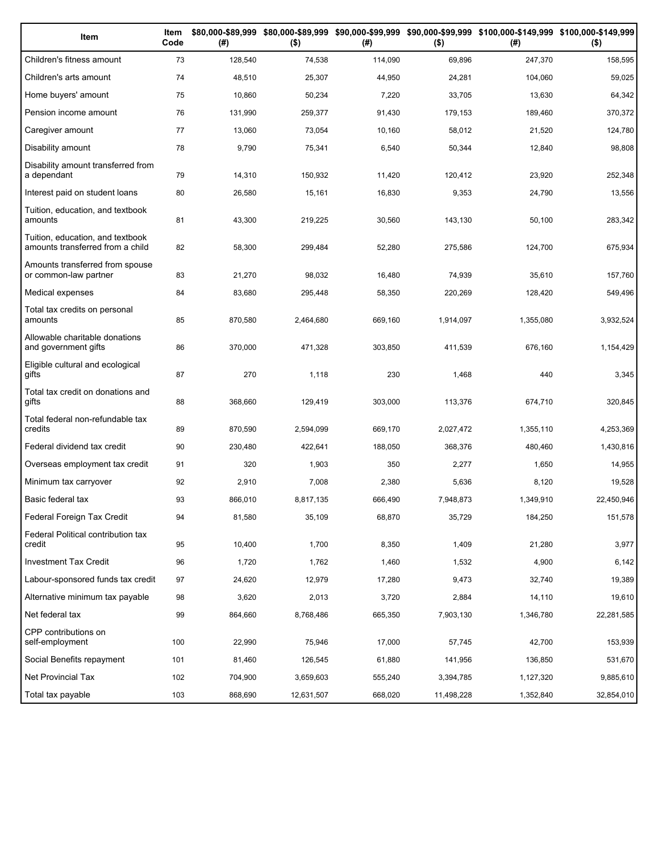| Item                                                                 | Item<br>Code | (# )    | $($ \$)    | (#)     | $($ \$)    | \$80,000-\$89,999 \$80,000-\$89,999 \$90,000-\$99,999 \$90,000-\$99,999 \$100,000-\$149,999 \$100,000-\$149,999<br>(#) | $($ \$)    |
|----------------------------------------------------------------------|--------------|---------|------------|---------|------------|------------------------------------------------------------------------------------------------------------------------|------------|
| Children's fitness amount                                            | 73           | 128,540 | 74,538     | 114,090 | 69,896     | 247,370                                                                                                                | 158,595    |
| Children's arts amount                                               | 74           | 48,510  | 25,307     | 44,950  | 24,281     | 104,060                                                                                                                | 59,025     |
| Home buyers' amount                                                  | 75           | 10,860  | 50,234     | 7,220   | 33,705     | 13,630                                                                                                                 | 64,342     |
| Pension income amount                                                | 76           | 131,990 | 259,377    | 91,430  | 179,153    | 189,460                                                                                                                | 370,372    |
| Caregiver amount                                                     | 77           | 13,060  | 73,054     | 10,160  | 58,012     | 21,520                                                                                                                 | 124,780    |
| Disability amount                                                    | 78           | 9,790   | 75,341     | 6,540   | 50,344     | 12,840                                                                                                                 | 98,808     |
| Disability amount transferred from<br>a dependant                    | 79           | 14,310  | 150,932    | 11,420  | 120,412    | 23,920                                                                                                                 | 252,348    |
| Interest paid on student loans                                       | 80           | 26,580  | 15,161     | 16,830  | 9,353      | 24,790                                                                                                                 | 13,556     |
| Tuition, education, and textbook<br>amounts                          | 81           | 43,300  | 219,225    | 30,560  | 143,130    | 50,100                                                                                                                 | 283,342    |
| Tuition, education, and textbook<br>amounts transferred from a child | 82           | 58,300  | 299,484    | 52,280  | 275,586    | 124,700                                                                                                                | 675,934    |
| Amounts transferred from spouse<br>or common-law partner             | 83           | 21,270  | 98,032     | 16,480  | 74,939     | 35,610                                                                                                                 | 157,760    |
| Medical expenses                                                     | 84           | 83,680  | 295,448    | 58,350  | 220,269    | 128,420                                                                                                                | 549,496    |
| Total tax credits on personal<br>amounts                             | 85           | 870,580 | 2,464,680  | 669,160 | 1,914,097  | 1,355,080                                                                                                              | 3,932,524  |
| Allowable charitable donations<br>and government gifts               | 86           | 370,000 | 471,328    | 303,850 | 411,539    | 676,160                                                                                                                | 1,154,429  |
| Eligible cultural and ecological<br>gifts                            | 87           | 270     | 1,118      | 230     | 1,468      | 440                                                                                                                    | 3,345      |
| Total tax credit on donations and<br>gifts                           | 88           | 368,660 | 129,419    | 303,000 | 113,376    | 674,710                                                                                                                | 320,845    |
| Total federal non-refundable tax<br>credits                          | 89           | 870,590 | 2,594,099  | 669,170 | 2,027,472  | 1,355,110                                                                                                              | 4,253,369  |
| Federal dividend tax credit                                          | 90           | 230,480 | 422,641    | 188,050 | 368,376    | 480,460                                                                                                                | 1,430,816  |
| Overseas employment tax credit                                       | 91           | 320     | 1,903      | 350     | 2,277      | 1,650                                                                                                                  | 14,955     |
| Minimum tax carryover                                                | 92           | 2,910   | 7,008      | 2,380   | 5,636      | 8,120                                                                                                                  | 19,528     |
| Basic federal tax                                                    | 93           | 866,010 | 8,817,135  | 666,490 | 7,948,873  | 1,349,910                                                                                                              | 22,450,946 |
| Federal Foreign Tax Credit                                           | 94           | 81,580  | 35,109     | 68,870  | 35,729     | 184,250                                                                                                                | 151,578    |
| Federal Political contribution tax<br>credit                         | 95           | 10,400  | 1,700      | 8,350   | 1,409      | 21,280                                                                                                                 | 3,977      |
| <b>Investment Tax Credit</b>                                         | 96           | 1,720   | 1,762      | 1,460   | 1,532      | 4,900                                                                                                                  | 6,142      |
| Labour-sponsored funds tax credit                                    | 97           | 24,620  | 12,979     | 17,280  | 9,473      | 32,740                                                                                                                 | 19,389     |
| Alternative minimum tax payable                                      | 98           | 3,620   | 2,013      | 3,720   | 2,884      | 14,110                                                                                                                 | 19,610     |
| Net federal tax                                                      | 99           | 864,660 | 8,768,486  | 665,350 | 7,903,130  | 1,346,780                                                                                                              | 22,281,585 |
| CPP contributions on<br>self-employment                              | 100          | 22,990  | 75,946     | 17,000  | 57,745     | 42,700                                                                                                                 | 153,939    |
| Social Benefits repayment                                            | 101          | 81,460  | 126,545    | 61,880  | 141,956    | 136,850                                                                                                                | 531,670    |
| Net Provincial Tax                                                   | 102          | 704,900 | 3,659,603  | 555,240 | 3,394,785  | 1,127,320                                                                                                              | 9,885,610  |
| Total tax payable                                                    | 103          | 868,690 | 12,631,507 | 668,020 | 11,498,228 | 1,352,840                                                                                                              | 32,854,010 |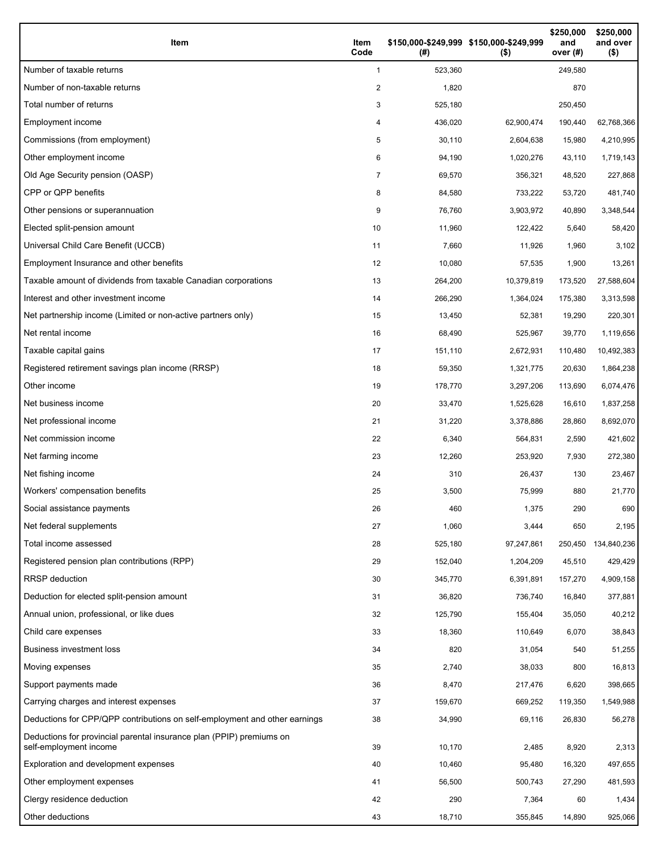| Item                                                                                           | Item<br>Code   | \$150,000-\$249,999 \$150,000-\$249,999<br>(# ) | $($ \$)    | \$250,000<br>and<br>over (#) | \$250,000<br>and over<br>$($ \$) |
|------------------------------------------------------------------------------------------------|----------------|-------------------------------------------------|------------|------------------------------|----------------------------------|
| Number of taxable returns                                                                      | $\mathbf{1}$   | 523,360                                         |            | 249,580                      |                                  |
| Number of non-taxable returns                                                                  | $\overline{c}$ | 1,820                                           |            | 870                          |                                  |
| Total number of returns                                                                        | 3              | 525,180                                         |            | 250,450                      |                                  |
| Employment income                                                                              | 4              | 436,020                                         | 62,900,474 | 190,440                      | 62,768,366                       |
| Commissions (from employment)                                                                  | 5              | 30,110                                          | 2,604,638  | 15,980                       | 4,210,995                        |
| Other employment income                                                                        | 6              | 94,190                                          | 1,020,276  | 43,110                       | 1,719,143                        |
| Old Age Security pension (OASP)                                                                | $\overline{7}$ | 69,570                                          | 356,321    | 48,520                       | 227,868                          |
| CPP or QPP benefits                                                                            | 8              | 84,580                                          | 733,222    | 53,720                       | 481,740                          |
| Other pensions or superannuation                                                               | 9              | 76,760                                          | 3,903,972  | 40,890                       | 3,348,544                        |
| Elected split-pension amount                                                                   | 10             | 11,960                                          | 122,422    | 5,640                        | 58,420                           |
| Universal Child Care Benefit (UCCB)                                                            | 11             | 7,660                                           | 11,926     | 1,960                        | 3,102                            |
| Employment Insurance and other benefits                                                        | 12             | 10,080                                          | 57,535     | 1,900                        | 13,261                           |
| Taxable amount of dividends from taxable Canadian corporations                                 | 13             | 264,200                                         | 10,379,819 | 173,520                      | 27,588,604                       |
| Interest and other investment income                                                           | 14             | 266,290                                         | 1,364,024  | 175,380                      | 3,313,598                        |
| Net partnership income (Limited or non-active partners only)                                   | 15             | 13,450                                          | 52,381     | 19,290                       | 220,301                          |
| Net rental income                                                                              | 16             | 68,490                                          | 525,967    | 39,770                       | 1,119,656                        |
| Taxable capital gains                                                                          | 17             | 151,110                                         | 2,672,931  | 110,480                      | 10,492,383                       |
| Registered retirement savings plan income (RRSP)                                               | 18             | 59,350                                          | 1,321,775  | 20,630                       | 1,864,238                        |
| Other income                                                                                   | 19             | 178,770                                         | 3,297,206  | 113,690                      | 6,074,476                        |
| Net business income                                                                            | 20             | 33,470                                          | 1,525,628  | 16,610                       | 1,837,258                        |
| Net professional income                                                                        | 21             | 31,220                                          | 3,378,886  | 28,860                       | 8,692,070                        |
| Net commission income                                                                          | 22             | 6,340                                           | 564,831    | 2,590                        | 421,602                          |
| Net farming income                                                                             | 23             | 12,260                                          | 253,920    | 7,930                        | 272,380                          |
| Net fishing income                                                                             | 24             | 310                                             | 26,437     | 130                          | 23,467                           |
| Workers' compensation benefits                                                                 | 25             | 3,500                                           | 75,999     | 880                          | 21,770                           |
| Social assistance payments                                                                     | 26             | 460                                             | 1,375      | 290                          | 690                              |
| Net federal supplements                                                                        | 27             | 1,060                                           | 3,444      | 650                          | 2,195                            |
| Total income assessed                                                                          | 28             | 525,180                                         | 97,247,861 | 250,450                      | 134,840,236                      |
| Registered pension plan contributions (RPP)                                                    | 29             | 152,040                                         | 1,204,209  | 45,510                       | 429,429                          |
| <b>RRSP</b> deduction                                                                          | 30             | 345,770                                         | 6,391,891  | 157,270                      | 4,909,158                        |
| Deduction for elected split-pension amount                                                     | 31             | 36,820                                          | 736,740    | 16,840                       | 377,881                          |
| Annual union, professional, or like dues                                                       | 32             | 125,790                                         | 155,404    | 35,050                       | 40,212                           |
| Child care expenses                                                                            | 33             | 18,360                                          | 110,649    | 6,070                        | 38,843                           |
| Business investment loss                                                                       | 34             | 820                                             | 31,054     | 540                          | 51,255                           |
| Moving expenses                                                                                | 35             | 2,740                                           | 38,033     | 800                          | 16,813                           |
| Support payments made                                                                          | 36             | 8,470                                           | 217,476    | 6,620                        | 398,665                          |
| Carrying charges and interest expenses                                                         | 37             | 159,670                                         | 669,252    | 119,350                      | 1,549,988                        |
| Deductions for CPP/QPP contributions on self-employment and other earnings                     | 38             | 34,990                                          | 69,116     | 26,830                       | 56,278                           |
| Deductions for provincial parental insurance plan (PPIP) premiums on<br>self-employment income | 39             | 10,170                                          | 2,485      | 8,920                        | 2,313                            |
| Exploration and development expenses                                                           | 40             | 10,460                                          | 95,480     | 16,320                       | 497,655                          |
| Other employment expenses                                                                      | 41             | 56,500                                          | 500,743    | 27,290                       | 481,593                          |
| Clergy residence deduction                                                                     | 42             | 290                                             | 7,364      | 60                           | 1,434                            |
| Other deductions                                                                               | 43             | 18,710                                          | 355,845    | 14,890                       | 925,066                          |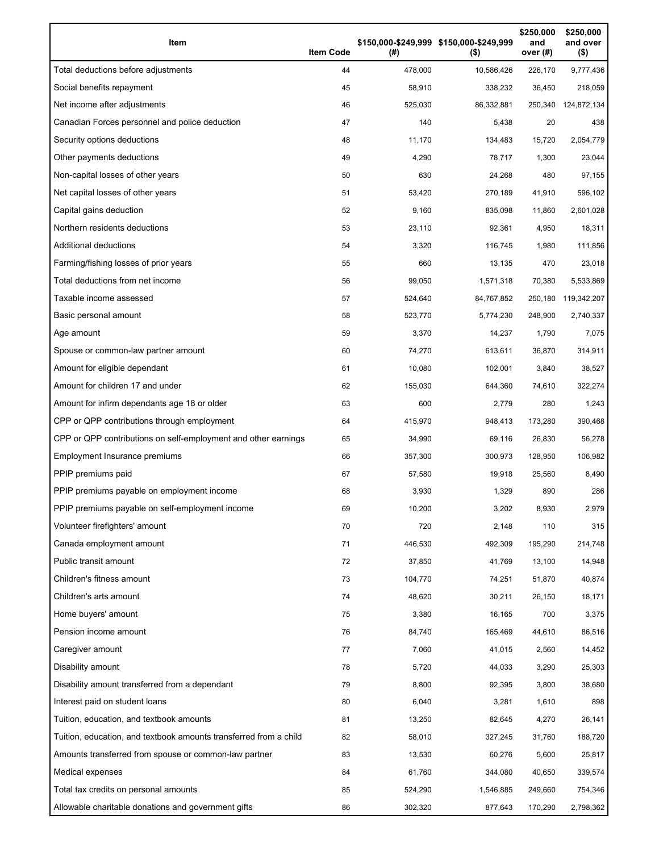| Item                                                              | <b>Item Code</b> | (# )    | \$150,000-\$249,999 \$150,000-\$249,999<br>$($ \$ | \$250,000<br>and<br>over $(#)$ | \$250,000<br>and over<br>$($ \$) |
|-------------------------------------------------------------------|------------------|---------|---------------------------------------------------|--------------------------------|----------------------------------|
| Total deductions before adjustments                               | 44               | 478,000 | 10,586,426                                        | 226,170                        | 9,777,436                        |
| Social benefits repayment                                         | 45               | 58,910  | 338,232                                           | 36,450                         | 218,059                          |
| Net income after adjustments                                      | 46               | 525,030 | 86,332,881                                        | 250,340                        | 124,872,134                      |
| Canadian Forces personnel and police deduction                    | 47               | 140     | 5,438                                             | 20                             | 438                              |
| Security options deductions                                       | 48               | 11,170  | 134,483                                           | 15,720                         | 2,054,779                        |
| Other payments deductions                                         | 49               | 4,290   | 78,717                                            | 1,300                          | 23,044                           |
| Non-capital losses of other years                                 | 50               | 630     | 24,268                                            | 480                            | 97,155                           |
| Net capital losses of other years                                 | 51               | 53,420  | 270,189                                           | 41,910                         | 596,102                          |
| Capital gains deduction                                           | 52               | 9,160   | 835,098                                           | 11,860                         | 2,601,028                        |
| Northern residents deductions                                     | 53               | 23,110  | 92,361                                            | 4,950                          | 18,311                           |
| Additional deductions                                             | 54               | 3,320   | 116,745                                           | 1,980                          | 111,856                          |
| Farming/fishing losses of prior years                             | 55               | 660     | 13,135                                            | 470                            | 23,018                           |
| Total deductions from net income                                  | 56               | 99,050  | 1,571,318                                         | 70,380                         | 5,533,869                        |
| Taxable income assessed                                           | 57               | 524,640 | 84,767,852                                        | 250,180                        | 119,342,207                      |
| Basic personal amount                                             | 58               | 523,770 | 5,774,230                                         | 248,900                        | 2,740,337                        |
| Age amount                                                        | 59               | 3,370   | 14,237                                            | 1,790                          | 7,075                            |
| Spouse or common-law partner amount                               | 60               | 74,270  | 613,611                                           | 36,870                         | 314,911                          |
| Amount for eligible dependant                                     | 61               | 10,080  | 102,001                                           | 3,840                          | 38,527                           |
| Amount for children 17 and under                                  | 62               | 155,030 | 644,360                                           | 74,610                         | 322,274                          |
| Amount for infirm dependants age 18 or older                      | 63               | 600     | 2,779                                             | 280                            | 1,243                            |
| CPP or QPP contributions through employment                       | 64               | 415,970 | 948,413                                           | 173,280                        | 390,468                          |
| CPP or QPP contributions on self-employment and other earnings    | 65               | 34,990  | 69,116                                            | 26,830                         | 56,278                           |
| Employment Insurance premiums                                     | 66               | 357,300 | 300,973                                           | 128,950                        | 106,982                          |
| PPIP premiums paid                                                | 67               | 57,580  | 19,918                                            | 25,560                         | 8,490                            |
| PPIP premiums payable on employment income                        | 68               | 3,930   | 1,329                                             | 890                            | 286                              |
| PPIP premiums payable on self-employment income                   | 69               | 10,200  | 3,202                                             | 8,930                          | 2,979                            |
| Volunteer firefighters' amount                                    | 70               | 720     | 2,148                                             | 110                            | 315                              |
| Canada employment amount                                          | 71               | 446,530 | 492,309                                           | 195,290                        | 214,748                          |
| Public transit amount                                             | 72               | 37,850  | 41,769                                            | 13,100                         | 14,948                           |
| Children's fitness amount                                         | 73               | 104,770 | 74,251                                            | 51,870                         | 40,874                           |
| Children's arts amount                                            | 74               | 48,620  | 30,211                                            | 26,150                         | 18,171                           |
| Home buyers' amount                                               | 75               | 3,380   | 16,165                                            | 700                            | 3,375                            |
| Pension income amount                                             | 76               | 84,740  | 165,469                                           | 44,610                         | 86,516                           |
| Caregiver amount                                                  | 77               | 7,060   | 41,015                                            | 2,560                          | 14,452                           |
| Disability amount                                                 | 78               | 5,720   | 44,033                                            | 3,290                          | 25,303                           |
| Disability amount transferred from a dependant                    | 79               | 8,800   | 92,395                                            | 3,800                          | 38,680                           |
| Interest paid on student loans                                    | 80               | 6,040   | 3,281                                             | 1,610                          | 898                              |
| Tuition, education, and textbook amounts                          | 81               | 13,250  | 82,645                                            | 4,270                          | 26,141                           |
| Tuition, education, and textbook amounts transferred from a child | 82               | 58,010  | 327,245                                           | 31,760                         | 188,720                          |
| Amounts transferred from spouse or common-law partner             | 83               | 13,530  | 60,276                                            | 5,600                          | 25,817                           |
| Medical expenses                                                  | 84               | 61,760  | 344,080                                           | 40,650                         | 339,574                          |
| Total tax credits on personal amounts                             | 85               | 524,290 | 1,546,885                                         | 249,660                        | 754,346                          |
| Allowable charitable donations and government gifts               | 86               | 302,320 | 877,643                                           | 170,290                        | 2,798,362                        |